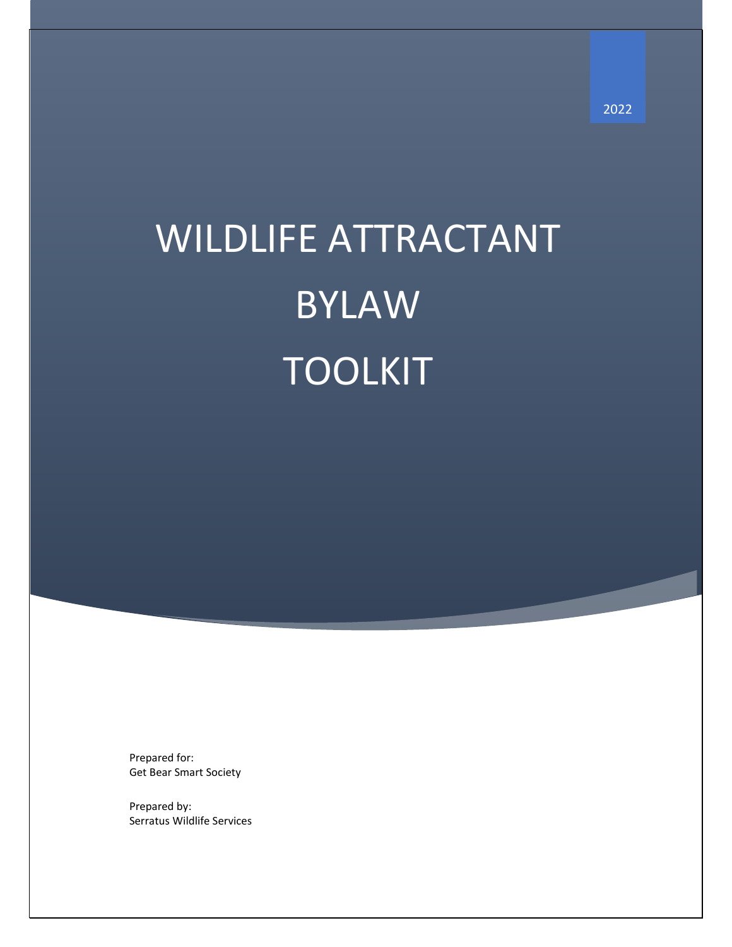# WILDLIFE ATTRACTANT BYLAW TOOLKIT

Prepared for: Get Bear Smart Society

Prepared by: Serratus Wildlife Services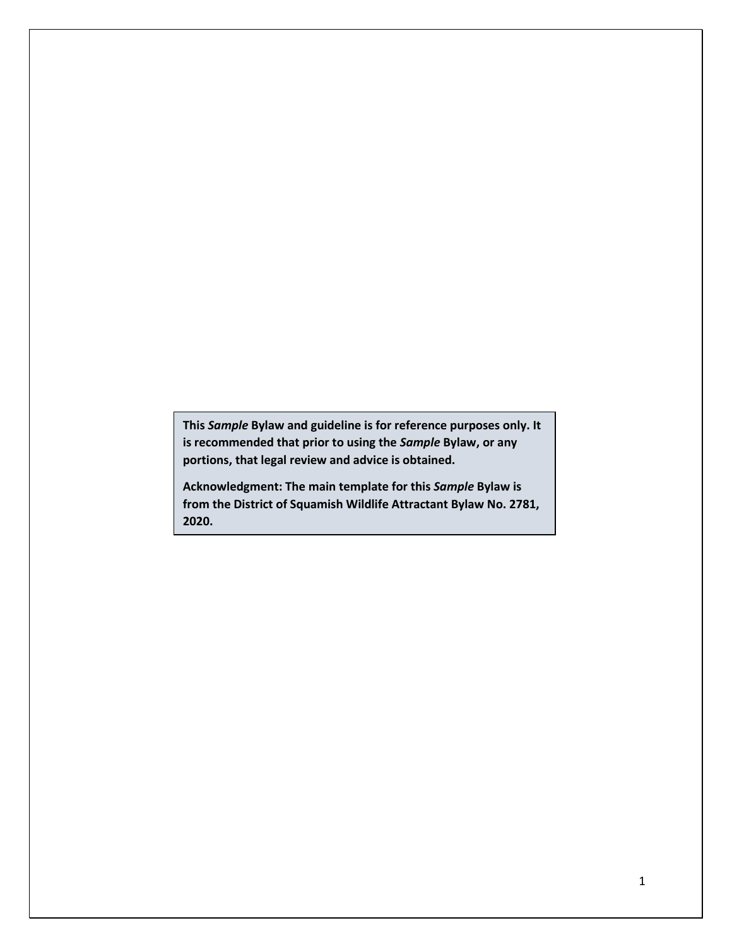**This** *Sample* **Bylaw and guideline is for reference purposes only. It is recommended that prior to using the** *Sample* **Bylaw, or any portions, that legal review and advice is obtained.**

**Acknowledgment: The main template for this** *Sample* **Bylaw is from the District of Squamish Wildlife Attractant Bylaw No. 2781, 2020.**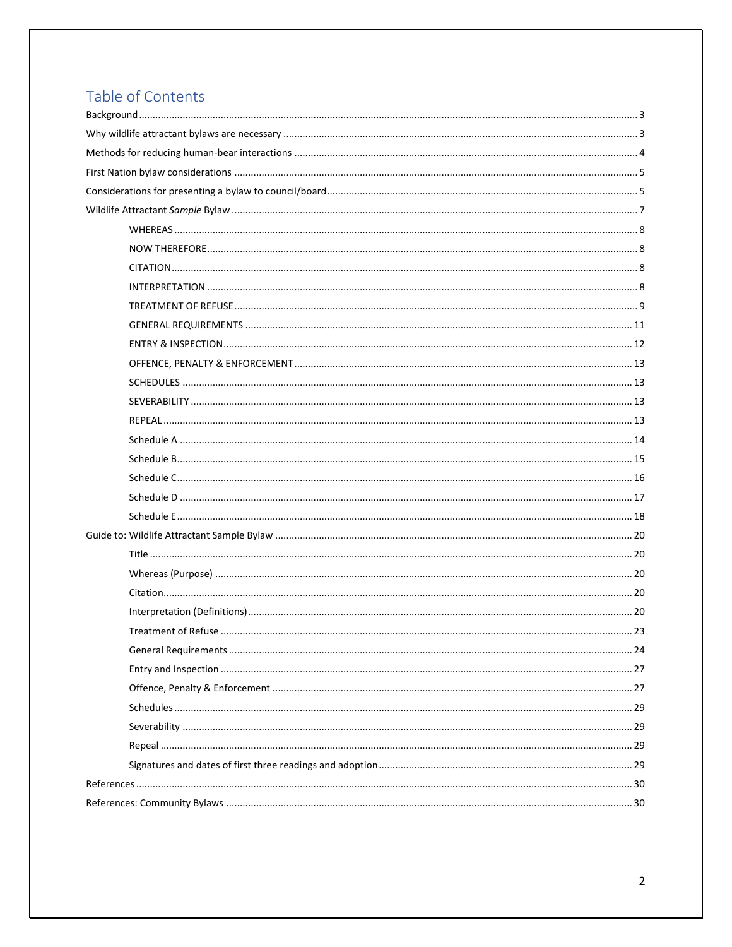## Table of Contents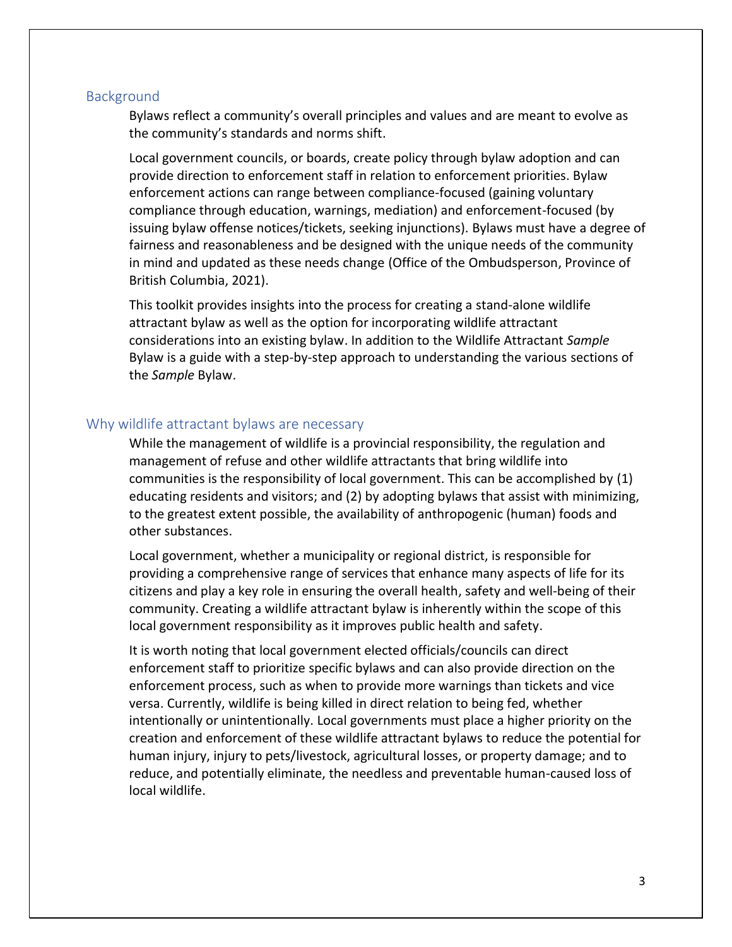#### <span id="page-3-0"></span>**Background**

Bylaws reflect a community's overall principles and values and are meant to evolve as the community's standards and norms shift.

Local government councils, or boards, create policy through bylaw adoption and can provide direction to enforcement staff in relation to enforcement priorities. Bylaw enforcement actions can range between compliance-focused (gaining voluntary compliance through education, warnings, mediation) and enforcement-focused (by issuing bylaw offense notices/tickets, seeking injunctions). Bylaws must have a degree of fairness and reasonableness and be designed with the unique needs of the community in mind and updated as these needs change (Office of the Ombudsperson, Province of British Columbia, 2021).

This toolkit provides insights into the process for creating a stand-alone wildlife attractant bylaw as well as the option for incorporating wildlife attractant considerations into an existing bylaw. In addition to the Wildlife Attractant *Sample* Bylaw is a guide with a step-by-step approach to understanding the various sections of the *Sample* Bylaw.

## <span id="page-3-1"></span>Why wildlife attractant bylaws are necessary

While the management of wildlife is a provincial responsibility, the regulation and management of refuse and other wildlife attractants that bring wildlife into communities is the responsibility of local government. This can be accomplished by (1) educating residents and visitors; and (2) by adopting bylaws that assist with minimizing, to the greatest extent possible, the availability of anthropogenic (human) foods and other substances.

Local government, whether a municipality or regional district, is responsible for providing a comprehensive range of services that enhance many aspects of life for its citizens and play a key role in ensuring the overall health, safety and well-being of their community. Creating a wildlife attractant bylaw is inherently within the scope of this local government responsibility as it improves public health and safety.

It is worth noting that local government elected officials/councils can direct enforcement staff to prioritize specific bylaws and can also provide direction on the enforcement process, such as when to provide more warnings than tickets and vice versa. Currently, wildlife is being killed in direct relation to being fed, whether intentionally or unintentionally. Local governments must place a higher priority on the creation and enforcement of these wildlife attractant bylaws to reduce the potential for human injury, injury to pets/livestock, agricultural losses, or property damage; and to reduce, and potentially eliminate, the needless and preventable human-caused loss of local wildlife.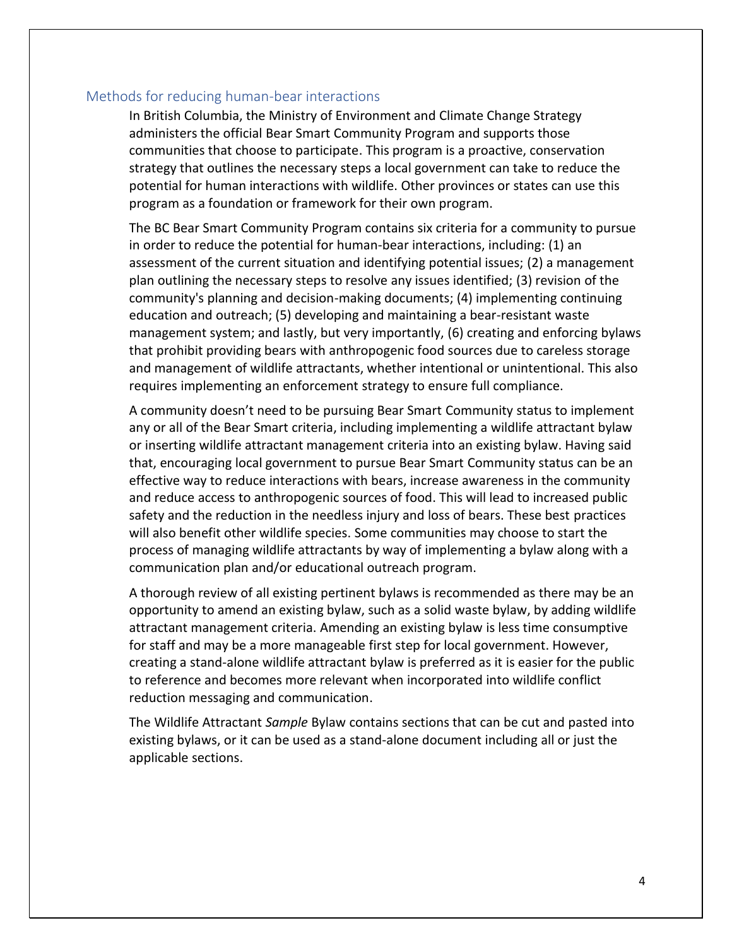## <span id="page-4-0"></span>Methods for reducing human-bear interactions

In British Columbia, the Ministry of Environment and Climate Change Strategy administers the official [Bear Smart](https://www2.gov.bc.ca/gov/content/environment/plants-animals-ecosystems/wildlife/human-wildlife-conflict/staying-safe-around-wildlife/bears/bear-smart) Community Program and supports those communities that choose to participate. This program is a proactive, conservation strategy that outlines the necessary steps a local government can take to reduce the potential for human interactions with wildlife. Other provinces or states can use this program as a foundation or framework for their own program.

The BC Bear Smart Community Program contains six criteria for a community to pursue in order to reduce the potential for human-bear interactions, including: (1) an assessment of the current situation and identifying potential issues; (2) a management plan outlining the necessary steps to resolve any issues identified; (3) revision of the community's planning and decision-making documents; (4) implementing continuing education and outreach; (5) developing and maintaining a bear-resistant waste management system; and lastly, but very importantly, (6) creating and enforcing bylaws that prohibit providing bears with anthropogenic food sources due to careless storage and management of wildlife attractants, whether intentional or unintentional. This also requires implementing an enforcement strategy to ensure full compliance.

A community doesn't need to be pursuing Bear Smart Community status to implement any or all of the Bear Smart criteria, including implementing a wildlife attractant bylaw or inserting wildlife attractant management criteria into an existing bylaw. Having said that, encouraging local government to pursue Bear Smart Community status can be an effective way to reduce interactions with bears, increase awareness in the community and reduce access to anthropogenic sources of food. This will lead to increased public safety and the reduction in the needless injury and loss of bears. These best practices will also benefit other wildlife species. Some communities may choose to start the process of managing wildlife attractants by way of implementing a bylaw along with a communication plan and/or educational outreach program.

A thorough review of all existing pertinent bylaws is recommended as there may be an opportunity to amend an existing bylaw, such as a solid waste bylaw, by adding wildlife attractant management criteria. Amending an existing bylaw is less time consumptive for staff and may be a more manageable first step for local government. However, creating a stand-alone wildlife attractant bylaw is preferred as it is easier for the public to reference and becomes more relevant when incorporated into wildlife conflict reduction messaging and communication.

The Wildlife Attractant *Sample* Bylaw contains sections that can be cut and pasted into existing bylaws, or it can be used as a stand-alone document including all or just the applicable sections.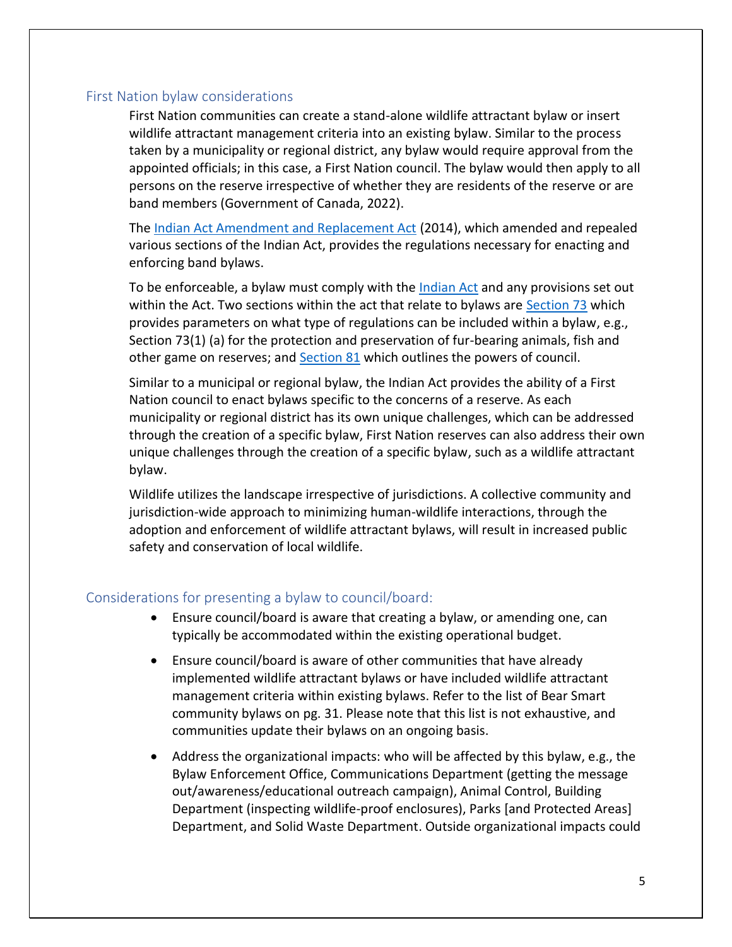## <span id="page-5-0"></span>First Nation bylaw considerations

First Nation communities can create a stand-alone wildlife attractant bylaw or insert wildlife attractant management criteria into an existing bylaw. Similar to the process taken by a municipality or regional district, any bylaw would require approval from the appointed officials; in this case, a First Nation council. The bylaw would then apply to all persons on the reserve irrespective of whether they are residents of the reserve or are band members (Government of Canada, 2022).

The [Indian Act Amendment and Replacement Act](https://www.parl.ca/DocumentViewer/en/41-2/bill/C-428/third-reading) (2014), which amended and repealed various sections of the Indian Act, provides the regulations necessary for enacting and enforcing band bylaws.

To be enforceable, a bylaw must comply with the [Indian Act](https://laws-lois.justice.gc.ca/eng/acts/I-5/#hist) and any provisions set out within the Act. Two sections within the act that relate to bylaws are [Section 73](https://laws-lois.justice.gc.ca/eng/acts/I-5/page-7.html#h-332618) which provides parameters on what type of regulations can be included within a bylaw, e.g., Section 73(1) (a) for the protection and preservation of fur-bearing animals, fish and other game on reserves; an[d Section 81](https://laws-lois.justice.gc.ca/eng/acts/I-5/page-7.html#h-332720) which outlines the powers of council.

Similar to a municipal or regional bylaw, the Indian Act provides the ability of a First Nation council to enact bylaws specific to the concerns of a reserve. As each municipality or regional district has its own unique challenges, which can be addressed through the creation of a specific bylaw, First Nation reserves can also address their own unique challenges through the creation of a specific bylaw, such as a wildlife attractant bylaw.

Wildlife utilizes the landscape irrespective of jurisdictions. A collective community and jurisdiction-wide approach to minimizing human-wildlife interactions, through the adoption and enforcement of wildlife attractant bylaws, will result in increased public safety and conservation of local wildlife.

## <span id="page-5-1"></span>Considerations for presenting a bylaw to council/board:

- Ensure council/board is aware that creating a bylaw, or amending one, can typically be accommodated within the existing operational budget.
- Ensure council/board is aware of other communities that have already implemented wildlife attractant bylaws or have included wildlife attractant management criteria within existing bylaws. Refer to the list of Bear Smart community bylaws on pg. 31. Please note that this list is not exhaustive, and communities update their bylaws on an ongoing basis.
- Address the organizational impacts: who will be affected by this bylaw, e.g., the Bylaw Enforcement Office, Communications Department (getting the message out/awareness/educational outreach campaign), Animal Control, Building Department (inspecting wildlife-proof enclosures), Parks [and Protected Areas] Department, and Solid Waste Department. Outside organizational impacts could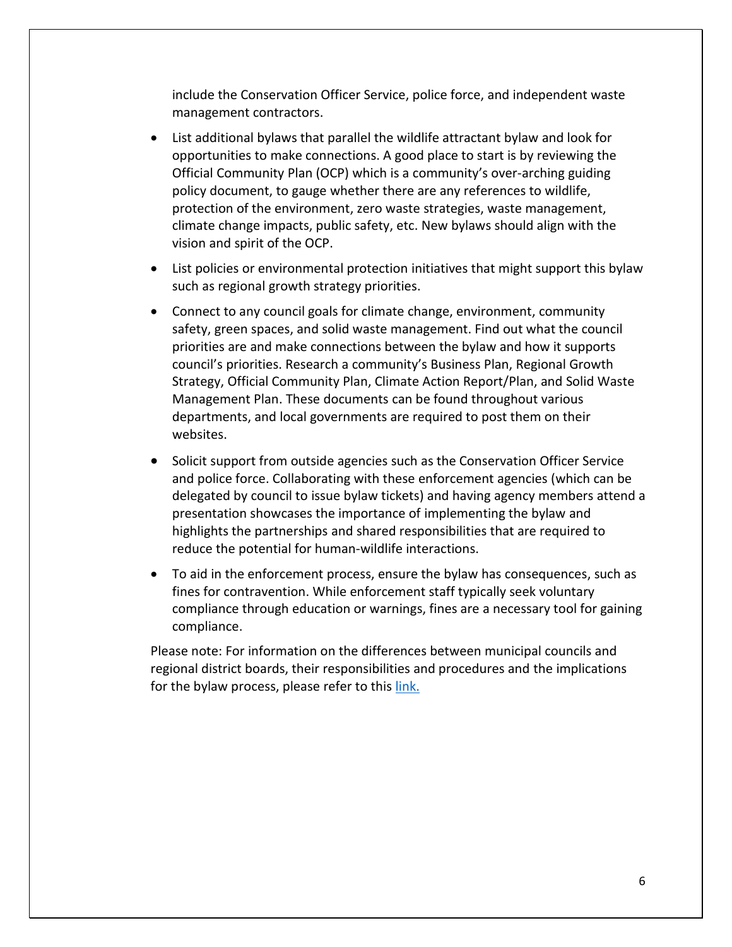include the Conservation Officer Service, police force, and independent waste management contractors.

- List additional bylaws that parallel the wildlife attractant bylaw and look for opportunities to make connections. A good place to start is by reviewing the Official Community Plan (OCP) which is a community's over-arching guiding policy document, to gauge whether there are any references to wildlife, protection of the environment, zero waste strategies, waste management, climate change impacts, public safety, etc. New bylaws should align with the vision and spirit of the OCP.
- List policies or environmental protection initiatives that might support this bylaw such as regional growth strategy priorities.
- Connect to any council goals for climate change, environment, community safety, green spaces, and solid waste management. Find out what the council priorities are and make connections between the bylaw and how it supports council's priorities. Research a community's Business Plan, Regional Growth Strategy, Official Community Plan, Climate Action Report/Plan, and Solid Waste Management Plan. These documents can be found throughout various departments, and local governments are required to post them on their websites.
- Solicit support from outside agencies such as the Conservation Officer Service and police force. Collaborating with these enforcement agencies (which can be delegated by council to issue bylaw tickets) and having agency members attend a presentation showcases the importance of implementing the bylaw and highlights the partnerships and shared responsibilities that are required to reduce the potential for human-wildlife interactions.
- To aid in the enforcement process, ensure the bylaw has consequences, such as fines for contravention. While enforcement staff typically seek voluntary compliance through education or warnings, fines are a necessary tool for gaining compliance.

Please note: For information on the differences between municipal councils and regional district boards, their responsibilities and procedures and the implications for the bylaw process, please refer to this [link.](https://www2.gov.bc.ca/gov/content/governments/local-governments/governance-powers/councils-boards)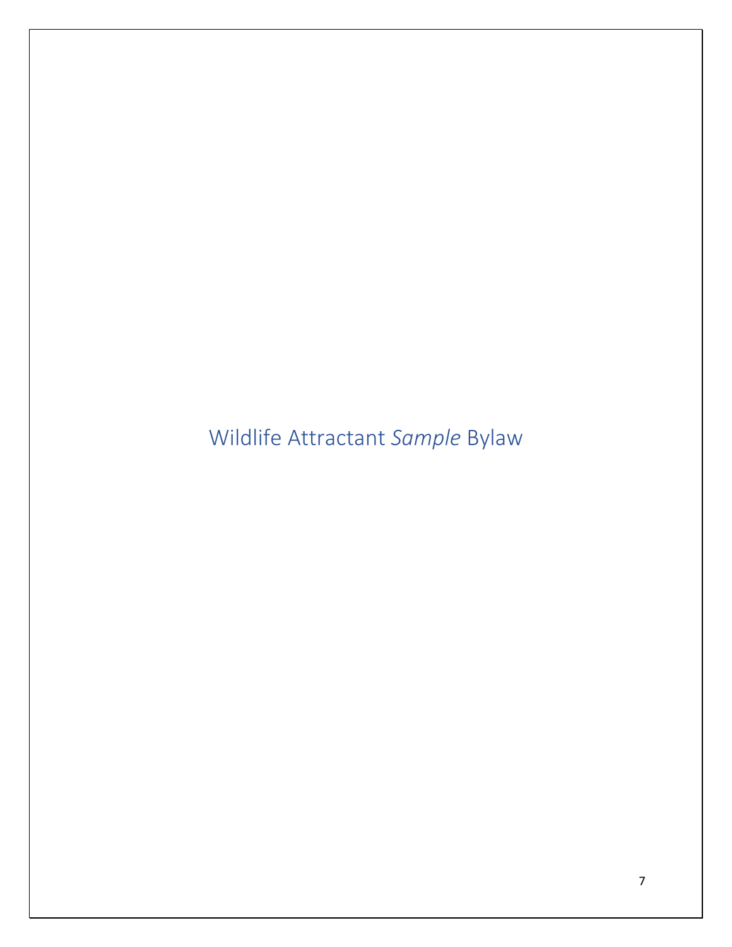<span id="page-7-0"></span>Wildlife Attractant *Sample* Bylaw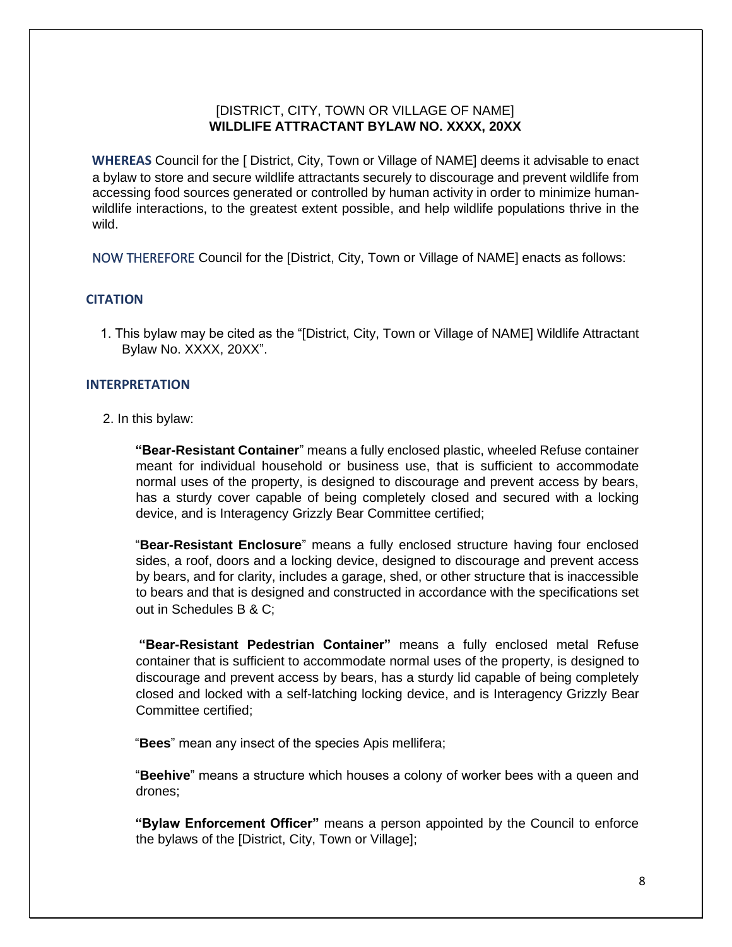## [DISTRICT, CITY, TOWN OR VILLAGE OF NAME] **WILDLIFE ATTRACTANT BYLAW NO. XXXX, 20XX**

<span id="page-8-0"></span>**WHEREAS** Council for the [ District, City, Town or Village of NAME] deems it advisable to enact a bylaw to store and secure wildlife attractants securely to discourage and prevent wildlife from accessing food sources generated or controlled by human activity in order to minimize humanwildlife interactions, to the greatest extent possible, and help wildlife populations thrive in the wild.

<span id="page-8-1"></span>NOW THEREFORE Council for the [District, City, Town or Village of NAME] enacts as follows:

#### <span id="page-8-2"></span>**CITATION**

1. This bylaw may be cited as the "[District, City, Town or Village of NAME] Wildlife Attractant Bylaw No. XXXX, 20XX".

#### <span id="page-8-3"></span>**INTERPRETATION**

2. In this bylaw:

**"Bear-Resistant Container**" means a fully enclosed plastic, wheeled Refuse container meant for individual household or business use, that is sufficient to accommodate normal uses of the property, is designed to discourage and prevent access by bears, has a sturdy cover capable of being completely closed and secured with a locking device, and is Interagency Grizzly Bear Committee certified;

"**Bear-Resistant Enclosure**" means a fully enclosed structure having four enclosed sides, a roof, doors and a locking device, designed to discourage and prevent access by bears, and for clarity, includes a garage, shed, or other structure that is inaccessible to bears and that is designed and constructed in accordance with the specifications set out in Schedules B & C;

**"Bear-Resistant Pedestrian Container"** means a fully enclosed metal Refuse container that is sufficient to accommodate normal uses of the property, is designed to discourage and prevent access by bears, has a sturdy lid capable of being completely closed and locked with a self-latching locking device, and is Interagency Grizzly Bear Committee certified;

"**Bees**" mean any insect of the species Apis mellifera;

"**Beehive**" means a structure which houses a colony of worker bees with a queen and drones;

**"Bylaw Enforcement Officer"** means a person appointed by the Council to enforce the bylaws of the [District, City, Town or Village];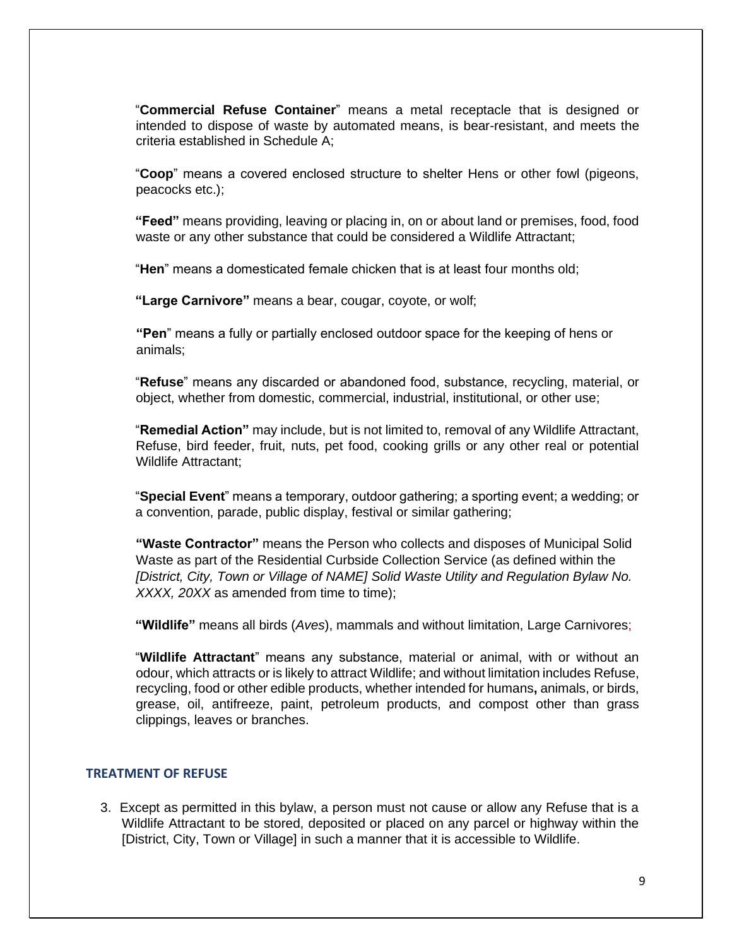"**Commercial Refuse Container**" means a metal receptacle that is designed or intended to dispose of waste by automated means, is bear-resistant, and meets the criteria established in Schedule A;

"**Coop**" means a covered enclosed structure to shelter Hens or other fowl (pigeons, peacocks etc.);

**"Feed"** means providing, leaving or placing in, on or about land or premises, food, food waste or any other substance that could be considered a Wildlife Attractant;

"**Hen**" means a domesticated female chicken that is at least four months old;

**"Large Carnivore"** means a bear, cougar, coyote, or wolf;

**"Pen**" means a fully or partially enclosed outdoor space for the keeping of hens or animals;

"**Refuse**" means any discarded or abandoned food, substance, recycling, material, or object, whether from domestic, commercial, industrial, institutional, or other use;

"**Remedial Action"** may include, but is not limited to, removal of any Wildlife Attractant, Refuse, bird feeder, fruit, nuts, pet food, cooking grills or any other real or potential Wildlife Attractant;

"**Special Event**" means a temporary, outdoor gathering; a sporting event; a wedding; or a convention, parade, public display, festival or similar gathering;

**"Waste Contractor"** means the Person who collects and disposes of Municipal Solid Waste as part of the Residential Curbside Collection Service (as defined within the *[District, City, Town or Village of NAME] Solid Waste Utility and Regulation Bylaw No. XXXX, 20XX* as amended from time to time);

**"Wildlife"** means all birds (*Aves*), mammals and without limitation, Large Carnivores;

"**Wildlife Attractant**" means any substance, material or animal, with or without an odour, which attracts or is likely to attract Wildlife; and without limitation includes Refuse, recycling, food or other edible products, whether intended for humans**,** animals, or birds, grease, oil, antifreeze, paint, petroleum products, and compost other than grass clippings, leaves or branches.

#### <span id="page-9-0"></span>**TREATMENT OF REFUSE**

3. Except as permitted in this bylaw, a person must not cause or allow any Refuse that is a Wildlife Attractant to be stored, deposited or placed on any parcel or highway within the [District, City, Town or Village] in such a manner that it is accessible to Wildlife.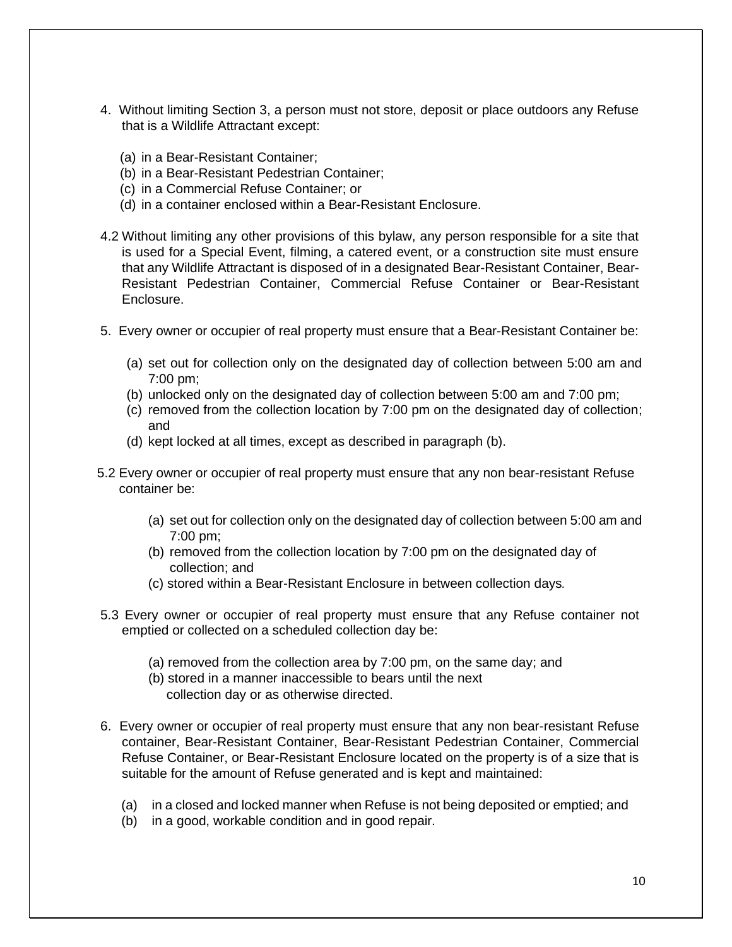- 4. Without limiting Section 3, a person must not store, deposit or place outdoors any Refuse that is a Wildlife Attractant except:
	- (a) in a Bear-Resistant Container;
	- (b) in a Bear-Resistant Pedestrian Container;
	- (c) in a Commercial Refuse Container; or
	- (d) in a container enclosed within a Bear-Resistant Enclosure.
- 4.2 Without limiting any other provisions of this bylaw, any person responsible for a site that is used for a Special Event, filming, a catered event, or a construction site must ensure that any Wildlife Attractant is disposed of in a designated Bear-Resistant Container, Bear-Resistant Pedestrian Container, Commercial Refuse Container or Bear-Resistant Enclosure.
- 5. Every owner or occupier of real property must ensure that a Bear-Resistant Container be:
	- (a) set out for collection only on the designated day of collection between 5:00 am and 7:00 pm;
	- (b) unlocked only on the designated day of collection between 5:00 am and 7:00 pm;
	- (c) removed from the collection location by 7:00 pm on the designated day of collection; and
	- (d) kept locked at all times, except as described in paragraph (b).
- 5.2 Every owner or occupier of real property must ensure that any non bear-resistant Refuse container be:
	- (a) set out for collection only on the designated day of collection between 5:00 am and 7:00 pm;
	- (b) removed from the collection location by 7:00 pm on the designated day of collection; and
	- (c) stored within a Bear-Resistant Enclosure in between collection days*.*
- 5.3 Every owner or occupier of real property must ensure that any Refuse container not emptied or collected on a scheduled collection day be:
	- (a) removed from the collection area by 7:00 pm, on the same day; and
	- (b) stored in a manner inaccessible to bears until the next collection day or as otherwise directed.
- 6. Every owner or occupier of real property must ensure that any non bear-resistant Refuse container, Bear-Resistant Container, Bear-Resistant Pedestrian Container, Commercial Refuse Container, or Bear-Resistant Enclosure located on the property is of a size that is suitable for the amount of Refuse generated and is kept and maintained:
	- (a) in a closed and locked manner when Refuse is not being deposited or emptied; and
	- (b) in a good, workable condition and in good repair.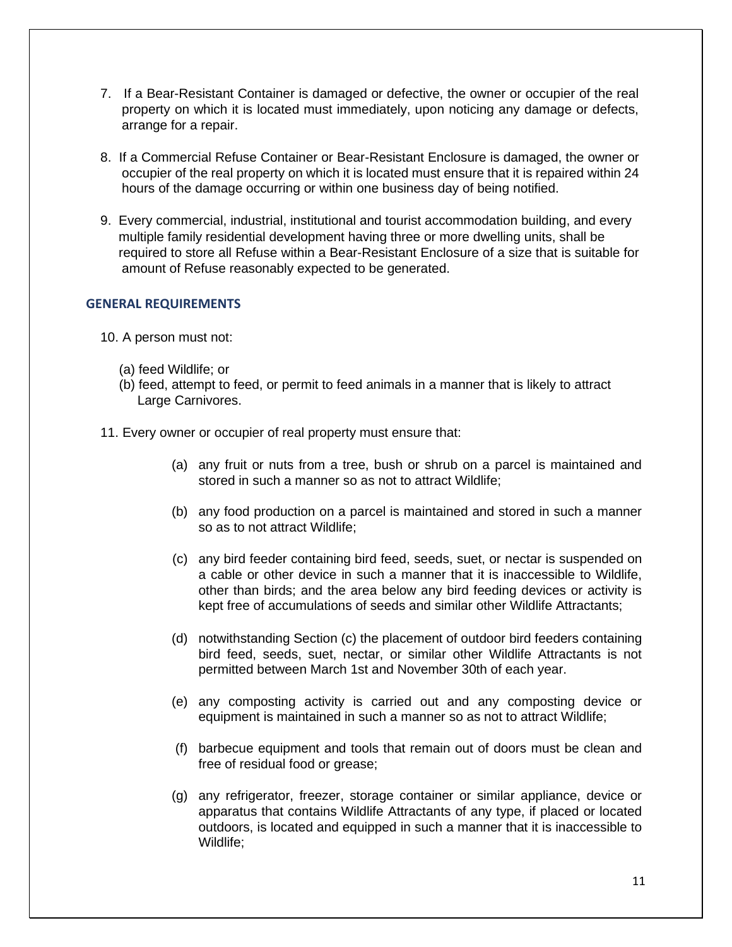- 7. If a Bear-Resistant Container is damaged or defective, the owner or occupier of the real property on which it is located must immediately, upon noticing any damage or defects, arrange for a repair.
- 8. If a Commercial Refuse Container or Bear-Resistant Enclosure is damaged, the owner or occupier of the real property on which it is located must ensure that it is repaired within 24 hours of the damage occurring or within one business day of being notified.
- 9. Every commercial, industrial, institutional and tourist accommodation building, and every multiple family residential development having three or more dwelling units, shall be required to store all Refuse within a Bear-Resistant Enclosure of a size that is suitable for amount of Refuse reasonably expected to be generated.

## <span id="page-11-0"></span>**GENERAL REQUIREMENTS**

- 10. A person must not:
	- (a) feed Wildlife; or
	- (b) feed, attempt to feed, or permit to feed animals in a manner that is likely to attract Large Carnivores.
- 11. Every owner or occupier of real property must ensure that:
	- (a) any fruit or nuts from a tree, bush or shrub on a parcel is maintained and stored in such a manner so as not to attract Wildlife;
	- (b) any food production on a parcel is maintained and stored in such a manner so as to not attract Wildlife;
	- (c) any bird feeder containing bird feed, seeds, suet, or nectar is suspended on a cable or other device in such a manner that it is inaccessible to Wildlife, other than birds; and the area below any bird feeding devices or activity is kept free of accumulations of seeds and similar other Wildlife Attractants;
	- (d) notwithstanding Section (c) the placement of outdoor bird feeders containing bird feed, seeds, suet, nectar, or similar other Wildlife Attractants is not permitted between March 1st and November 30th of each year.
	- (e) any composting activity is carried out and any composting device or equipment is maintained in such a manner so as not to attract Wildlife;
	- (f) barbecue equipment and tools that remain out of doors must be clean and free of residual food or grease;
	- (g) any refrigerator, freezer, storage container or similar appliance, device or apparatus that contains Wildlife Attractants of any type, if placed or located outdoors, is located and equipped in such a manner that it is inaccessible to Wildlife;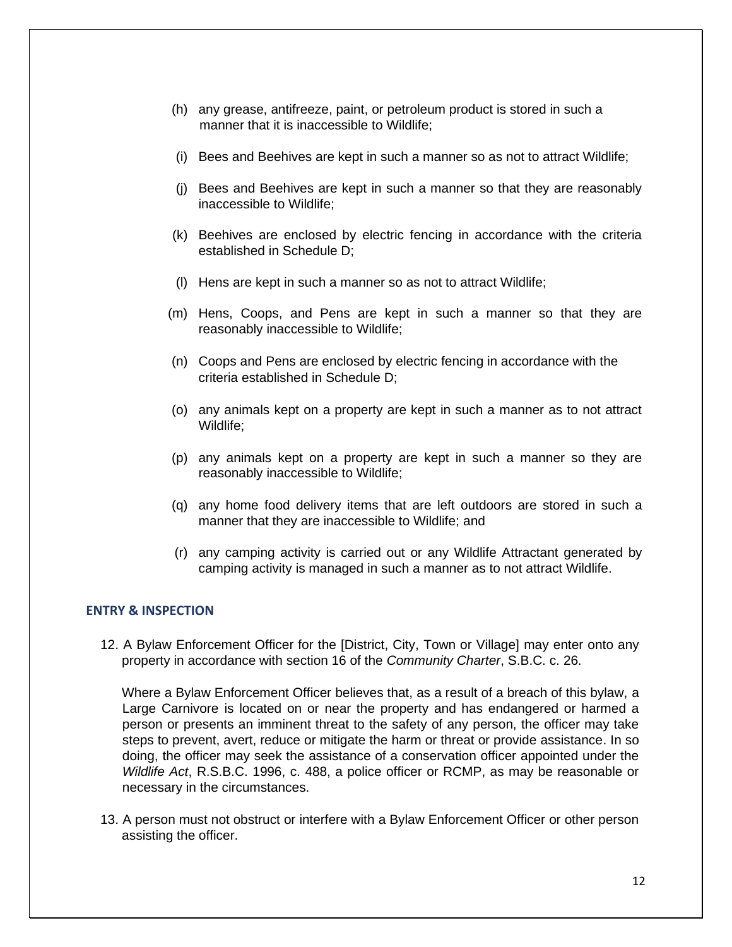- (h) any grease, antifreeze, paint, or petroleum product is stored in such a manner that it is inaccessible to Wildlife;
- (i) Bees and Beehives are kept in such a manner so as not to attract Wildlife;
- (j) Bees and Beehives are kept in such a manner so that they are reasonably inaccessible to Wildlife;
- (k) Beehives are enclosed by electric fencing in accordance with the criteria established in Schedule D;
- (l) Hens are kept in such a manner so as not to attract Wildlife;
- (m) Hens, Coops, and Pens are kept in such a manner so that they are reasonably inaccessible to Wildlife;
- (n) Coops and Pens are enclosed by electric fencing in accordance with the criteria established in Schedule D;
- (o) any animals kept on a property are kept in such a manner as to not attract Wildlife;
- (p) any animals kept on a property are kept in such a manner so they are reasonably inaccessible to Wildlife;
- (q) any home food delivery items that are left outdoors are stored in such a manner that they are inaccessible to Wildlife; and
- (r) any camping activity is carried out or any Wildlife Attractant generated by camping activity is managed in such a manner as to not attract Wildlife.

## <span id="page-12-0"></span>**ENTRY & INSPECTION**

12. A Bylaw Enforcement Officer for the [District, City, Town or Village] may enter onto any property in accordance with section 16 of the *Community Charter*, S.B.C. c. 26.

Where a Bylaw Enforcement Officer believes that, as a result of a breach of this bylaw, a Large Carnivore is located on or near the property and has endangered or harmed a person or presents an imminent threat to the safety of any person, the officer may take steps to prevent, avert, reduce or mitigate the harm or threat or provide assistance. In so doing, the officer may seek the assistance of a conservation officer appointed under the *Wildlife Act*, R.S.B.C. 1996, c. 488, a police officer or RCMP, as may be reasonable or necessary in the circumstances.

13. A person must not obstruct or interfere with a Bylaw Enforcement Officer or other person assisting the officer.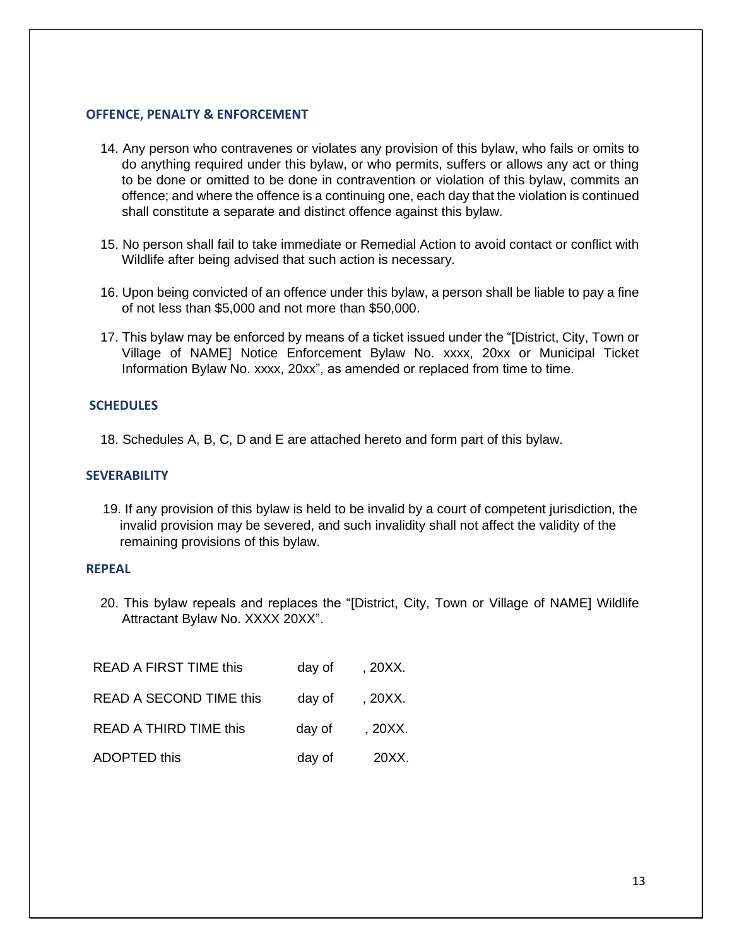## <span id="page-13-0"></span>**OFFENCE, PENALTY & ENFORCEMENT**

- 14. Any person who contravenes or violates any provision of this bylaw, who fails or omits to do anything required under this bylaw, or who permits, suffers or allows any act or thing to be done or omitted to be done in contravention or violation of this bylaw, commits an offence; and where the offence is a continuing one, each day that the violation is continued shall constitute a separate and distinct offence against this bylaw.
- 15. No person shall fail to take immediate or Remedial Action to avoid contact or conflict with Wildlife after being advised that such action is necessary.
- 16. Upon being convicted of an offence under this bylaw, a person shall be liable to pay a fine of not less than \$5,000 and not more than \$50,000.
- 17. This bylaw may be enforced by means of a ticket issued under the "[District, City, Town or Village of NAME] Notice Enforcement Bylaw No. xxxx, 20xx or Municipal Ticket Information Bylaw No. xxxx, 20xx", as amended or replaced from time to time.

## <span id="page-13-1"></span>**SCHEDULES**

18. Schedules A, B, C, D and E are attached hereto and form part of this bylaw.

## <span id="page-13-2"></span>**SEVERABILITY**

19. If any provision of this bylaw is held to be invalid by a court of competent jurisdiction, the invalid provision may be severed, and such invalidity shall not affect the validity of the remaining provisions of this bylaw.

## <span id="page-13-3"></span>**REPEAL**

20. This bylaw repeals and replaces the "[District, City, Town or Village of NAME] Wildlife Attractant Bylaw No. XXXX 20XX".

| <b>READ A FIRST TIME this</b>  | day of | , 20XX. |
|--------------------------------|--------|---------|
| <b>READ A SECOND TIME this</b> | day of | , 20XX. |
| <b>READ A THIRD TIME this</b>  | day of | , 20XX. |
| <b>ADOPTED this</b>            | day of | 20XX.   |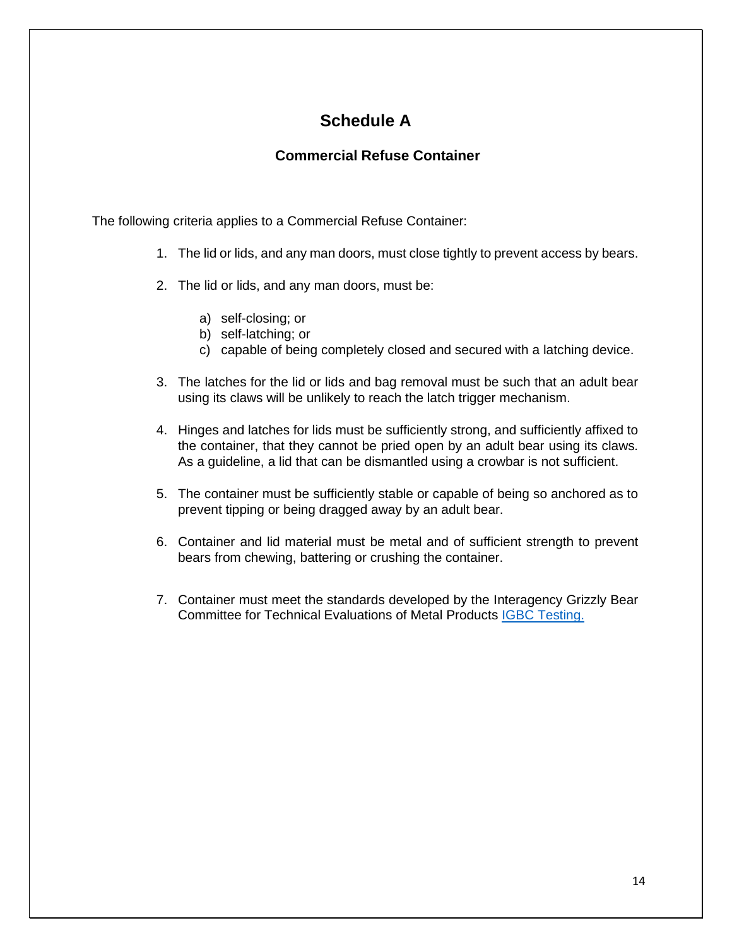## **Schedule A**

## **Commercial Refuse Container**

<span id="page-14-0"></span>The following criteria applies to a Commercial Refuse Container:

- 1. The lid or lids, and any man doors, must close tightly to prevent access by bears.
- 2. The lid or lids, and any man doors, must be:
	- a) self-closing; or
	- b) self-latching; or
	- c) capable of being completely closed and secured with a latching device.
- 3. The latches for the lid or lids and bag removal must be such that an adult bear using its claws will be unlikely to reach the latch trigger mechanism.
- 4. Hinges and latches for lids must be sufficiently strong, and sufficiently affixed to the container, that they cannot be pried open by an adult bear using its claws. As a guideline, a lid that can be dismantled using a crowbar is not sufficient.
- 5. The container must be sufficiently stable or capable of being so anchored as to prevent tipping or being dragged away by an adult bear.
- 6. Container and lid material must be metal and of sufficient strength to prevent bears from chewing, battering or crushing the container.
- 7. Container must meet the standards developed by the Interagency Grizzly Bear Committee for Technical Evaluations of Metal Products [IGBC Testing.](https://grizzlybear.wpengine.com/wp-content/uploads/2021/10/200101-FINAL-testing-protocol-1.pdf)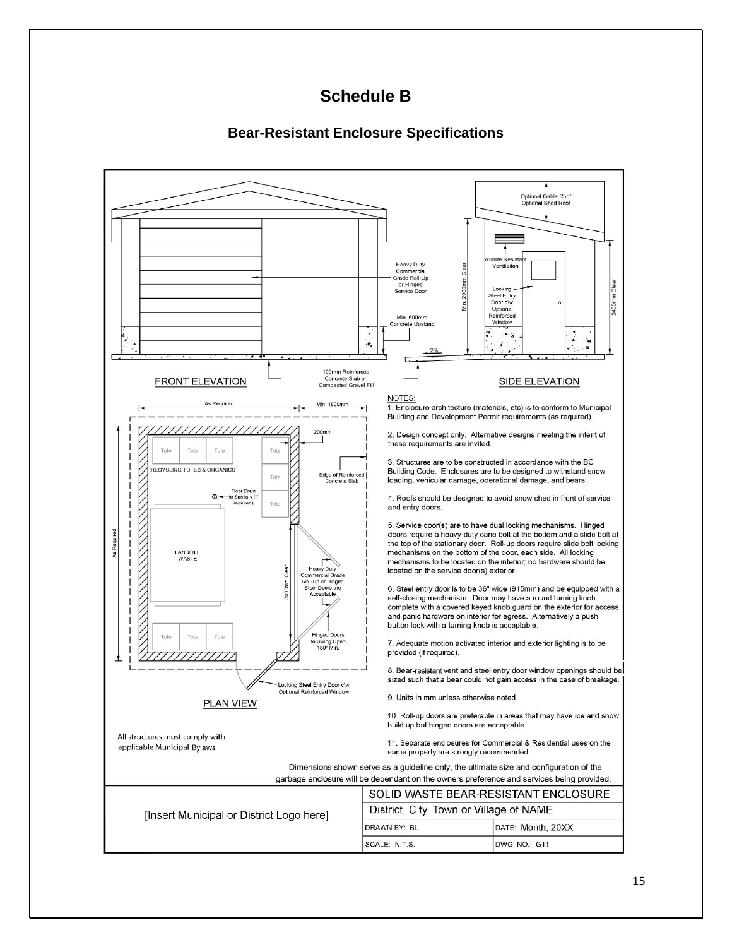## **Schedule B**

## **Bear-Resistant Enclosure Specifications**

<span id="page-15-0"></span>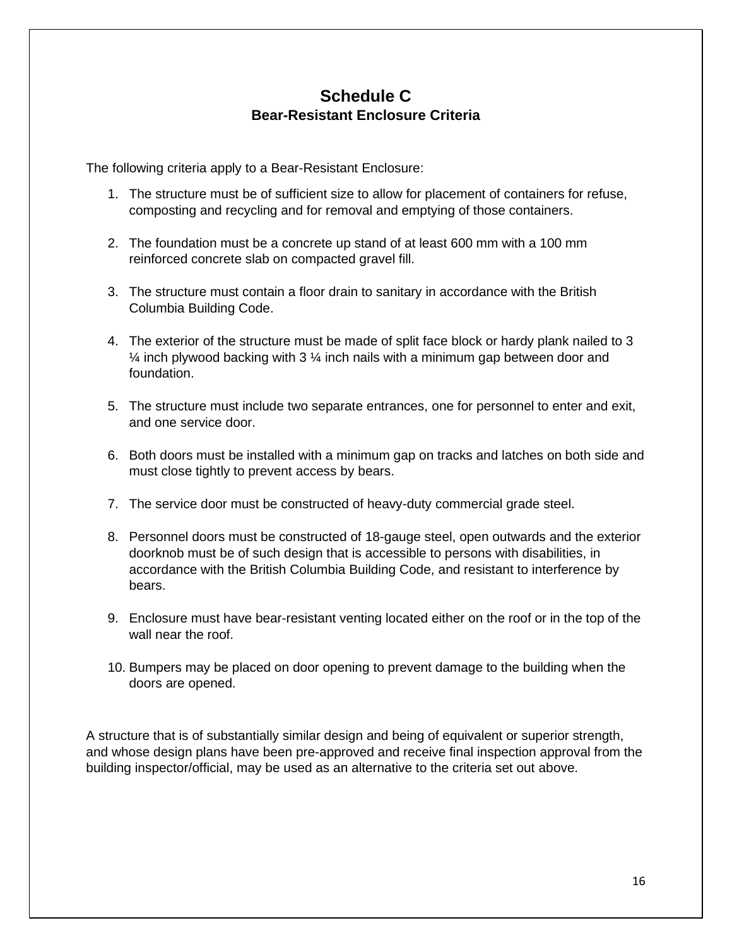## **Schedule C Bear-Resistant Enclosure Criteria**

<span id="page-16-0"></span>The following criteria apply to a Bear-Resistant Enclosure:

- 1. The structure must be of sufficient size to allow for placement of containers for refuse, composting and recycling and for removal and emptying of those containers.
- 2. The foundation must be a concrete up stand of at least 600 mm with a 100 mm reinforced concrete slab on compacted gravel fill.
- 3. The structure must contain a floor drain to sanitary in accordance with the British Columbia Building Code.
- 4. The exterior of the structure must be made of split face block or hardy plank nailed to 3  $\frac{1}{4}$  inch plywood backing with 3  $\frac{1}{4}$  inch nails with a minimum gap between door and foundation.
- 5. The structure must include two separate entrances, one for personnel to enter and exit, and one service door.
- 6. Both doors must be installed with a minimum gap on tracks and latches on both side and must close tightly to prevent access by bears.
- 7. The service door must be constructed of heavy-duty commercial grade steel.
- 8. Personnel doors must be constructed of 18-gauge steel, open outwards and the exterior doorknob must be of such design that is accessible to persons with disabilities, in accordance with the British Columbia Building Code, and resistant to interference by bears.
- 9. Enclosure must have bear-resistant venting located either on the roof or in the top of the wall near the roof.
- 10. Bumpers may be placed on door opening to prevent damage to the building when the doors are opened.

A structure that is of substantially similar design and being of equivalent or superior strength, and whose design plans have been pre-approved and receive final inspection approval from the building inspector/official, may be used as an alternative to the criteria set out above.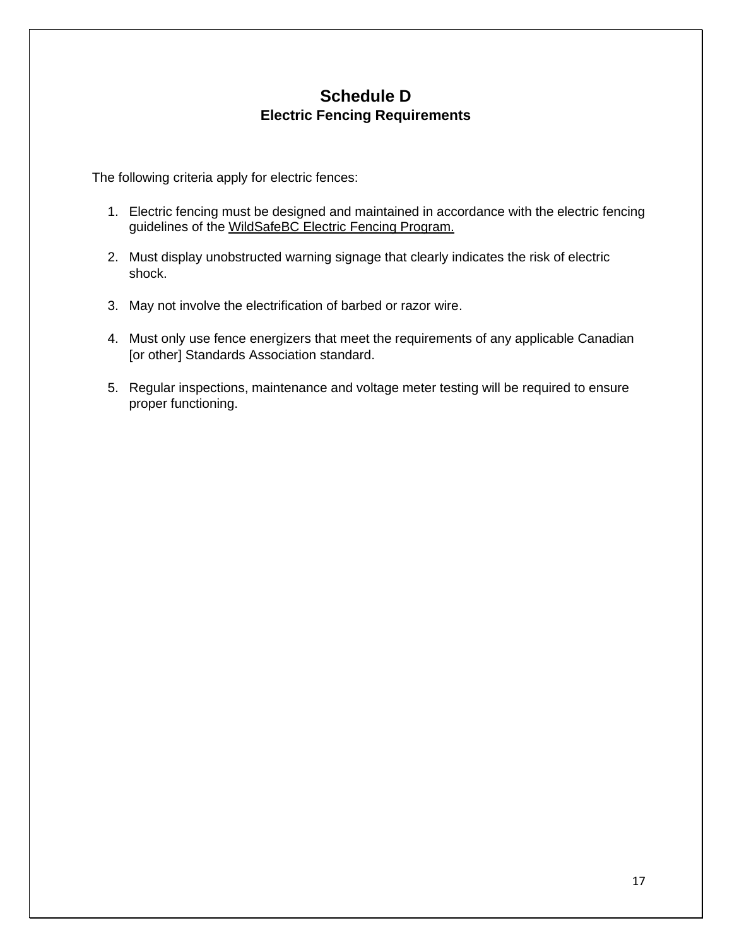## **Schedule D Electric Fencing Requirements**

<span id="page-17-0"></span>The following criteria apply for electric fences:

- 1. Electric fencing must be designed and maintained in accordance with the electric fencing guidelines of the [WildSafeBC Electric Fencing](https://wildsafebc.com/learn/electric-fencing/) Program.
- 2. Must display unobstructed warning signage that clearly indicates the risk of electric shock.
- 3. May not involve the electrification of barbed or razor wire.
- 4. Must only use fence energizers that meet the requirements of any applicable Canadian [or other] Standards Association standard.
- 5. Regular inspections, maintenance and voltage meter testing will be required to ensure proper functioning.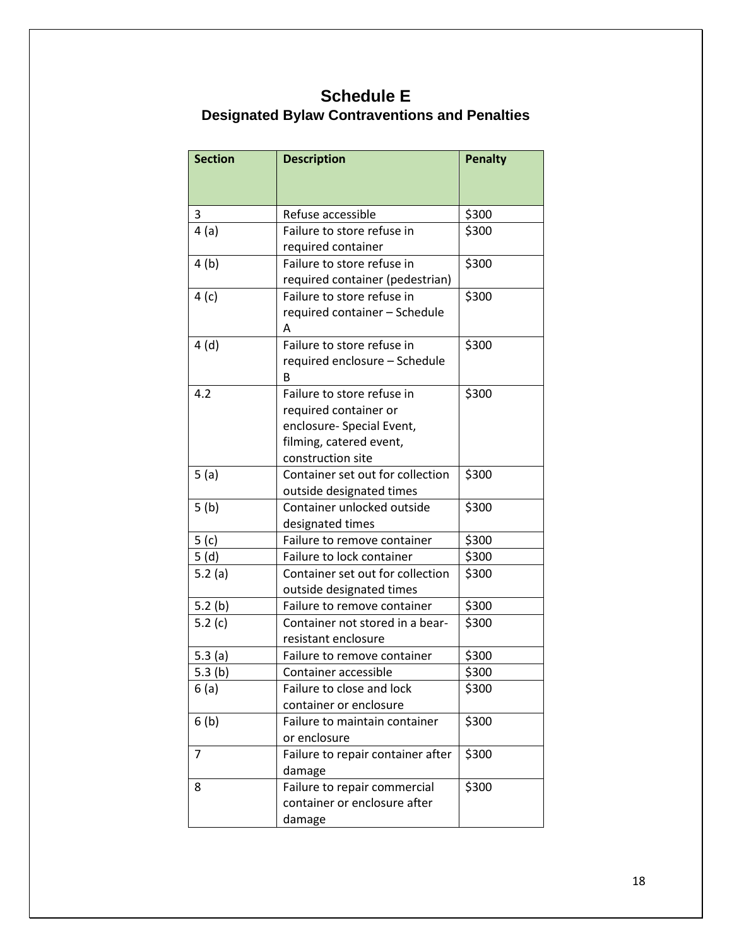# **Schedule E**

## **Designated Bylaw Contraventions and Penalties**

<span id="page-18-0"></span>

| <b>Section</b>   | <b>Description</b>                | <b>Penalty</b> |
|------------------|-----------------------------------|----------------|
|                  |                                   |                |
|                  |                                   |                |
| 3                | Refuse accessible                 | \$300          |
| 4(a)             | Failure to store refuse in        | \$300          |
|                  | required container                |                |
| 4(b)             | Failure to store refuse in        | \$300          |
|                  | required container (pedestrian)   |                |
| 4 (c)            | Failure to store refuse in        | \$300          |
|                  | required container - Schedule     |                |
|                  | A                                 |                |
| 4(d)             | Failure to store refuse in        | \$300          |
|                  | required enclosure - Schedule     |                |
|                  | B                                 |                |
| 4.2              | Failure to store refuse in        | \$300          |
|                  | required container or             |                |
|                  | enclosure- Special Event,         |                |
|                  | filming, catered event,           |                |
|                  | construction site                 |                |
| 5(a)             | Container set out for collection  | \$300          |
|                  | outside designated times          |                |
| 5(b)             | Container unlocked outside        | \$300          |
|                  | designated times                  |                |
| 5 <sub>(c)</sub> | Failure to remove container       | \$300          |
| 5(d)             | Failure to lock container         | \$300          |
| 5.2(a)           | Container set out for collection  | \$300          |
|                  | outside designated times          |                |
| 5.2(b)           | Failure to remove container       | \$300          |
| 5.2 $(c)$        | Container not stored in a bear-   | \$300          |
|                  | resistant enclosure               |                |
| 5.3 $(a)$        | Failure to remove container       | \$300          |
| 5.3(b)           | Container accessible              | \$300          |
| 6(a)             | Failure to close and lock         | \$300          |
|                  | container or enclosure            |                |
| 6(b)             | Failure to maintain container     | \$300          |
|                  | or enclosure                      |                |
| 7                | Failure to repair container after | \$300          |
|                  | damage                            |                |
| 8                | Failure to repair commercial      | \$300          |
|                  | container or enclosure after      |                |
|                  | damage                            |                |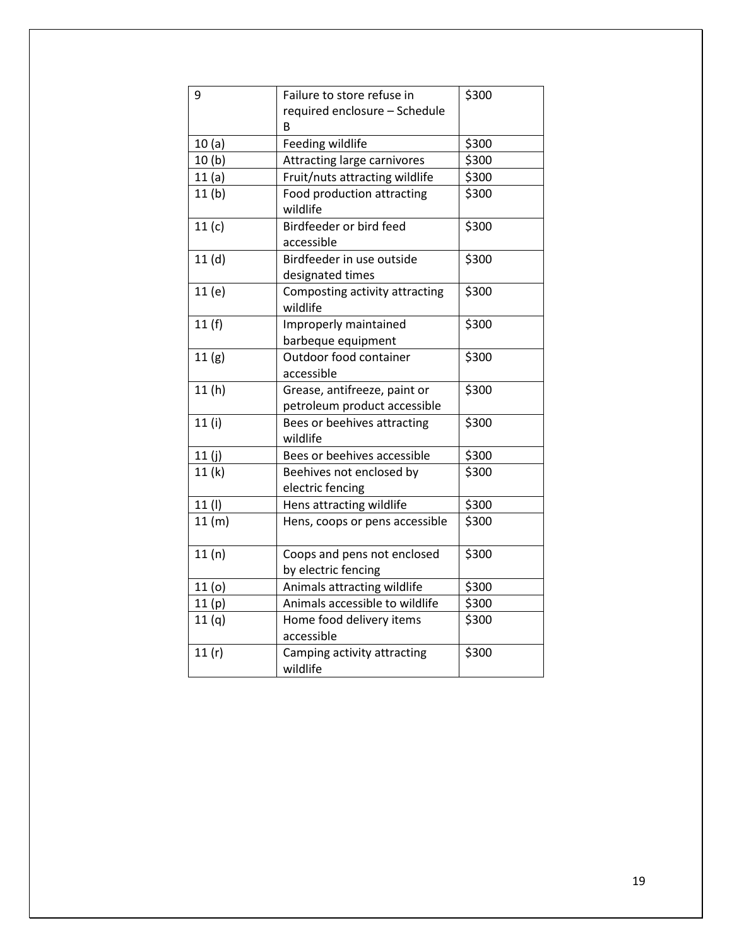| 9                 | Failure to store refuse in              | \$300 |
|-------------------|-----------------------------------------|-------|
|                   | required enclosure - Schedule           |       |
|                   | в                                       |       |
| 10(a)             | Feeding wildlife                        | \$300 |
| 10 <sub>(b)</sub> | Attracting large carnivores             | \$300 |
| 11(a)             | Fruit/nuts attracting wildlife          | \$300 |
| 11 <sub>(b)</sub> | Food production attracting              | \$300 |
|                   | wildlife                                |       |
| 11(c)             | Birdfeeder or bird feed                 | \$300 |
|                   | accessible                              |       |
| 11 <sub>(d)</sub> | Birdfeeder in use outside               | \$300 |
|                   | designated times                        |       |
| 11(e)             | Composting activity attracting          | \$300 |
|                   | wildlife                                |       |
| 11(f)             | Improperly maintained                   | \$300 |
|                   | barbeque equipment                      |       |
| 11(g)             | Outdoor food container                  | \$300 |
|                   | accessible                              |       |
| 11(h)             | Grease, antifreeze, paint or            | \$300 |
|                   | petroleum product accessible            |       |
| 11(i)             | Bees or beehives attracting             | \$300 |
|                   | wildlife                                |       |
| 11(j)             | Bees or beehives accessible             | \$300 |
| 11(k)             | Beehives not enclosed by                | \$300 |
|                   | electric fencing                        |       |
| 11 (I)            | Hens attracting wildlife                | \$300 |
| 11(m)             | Hens, coops or pens accessible          | \$300 |
| 11(n)             | Coops and pens not enclosed             | \$300 |
|                   | by electric fencing                     |       |
| 11 <sub>(o)</sub> | Animals attracting wildlife             | \$300 |
| 11(p)             | Animals accessible to wildlife          | \$300 |
| 11(q)             | Home food delivery items                | \$300 |
|                   | accessible                              |       |
| 11(r)             | Camping activity attracting<br>wildlife | \$300 |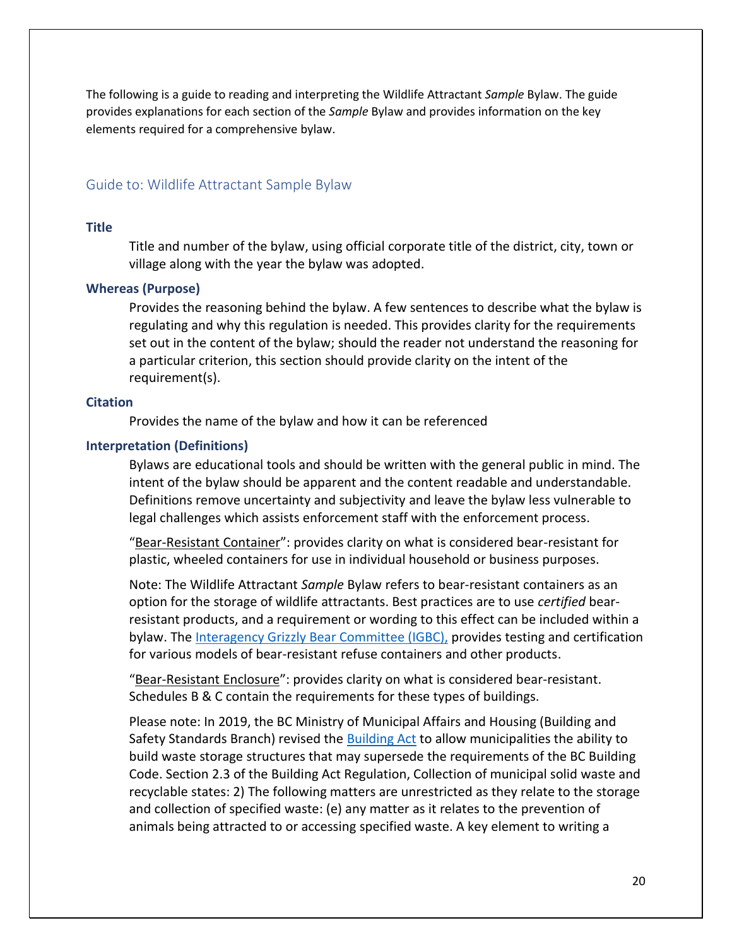The following is a guide to reading and interpreting the Wildlife Attractant *Sample* Bylaw. The guide provides explanations for each section of the *Sample* Bylaw and provides information on the key elements required for a comprehensive bylaw.

## <span id="page-20-0"></span>Guide to: Wildlife Attractant Sample Bylaw

#### <span id="page-20-1"></span>**Title**

Title and number of the bylaw, using official corporate title of the district, city, town or village along with the year the bylaw was adopted.

## <span id="page-20-2"></span>**Whereas (Purpose)**

Provides the reasoning behind the bylaw. A few sentences to describe what the bylaw is regulating and why this regulation is needed. This provides clarity for the requirements set out in the content of the bylaw; should the reader not understand the reasoning for a particular criterion, this section should provide clarity on the intent of the requirement(s).

## <span id="page-20-3"></span>**Citation**

Provides the name of the bylaw and how it can be referenced

## <span id="page-20-4"></span>**Interpretation (Definitions)**

Bylaws are educational tools and should be written with the general public in mind. The intent of the bylaw should be apparent and the content readable and understandable. Definitions remove uncertainty and subjectivity and leave the bylaw less vulnerable to legal challenges which assists enforcement staff with the enforcement process.

"Bear-Resistant Container": provides clarity on what is considered bear-resistant for plastic, wheeled containers for use in individual household or business purposes.

Note: The Wildlife Attractant *Sample* Bylaw refers to bear-resistant containers as an option for the storage of wildlife attractants. Best practices are to use *certified* bearresistant products, and a requirement or wording to this effect can be included within a bylaw. The [Interagency Grizzly Bear Committee](http://igbconline.org/bear-resistant-products/) (IGBC), provides testing and certification for various models of bear-resistant refuse containers and other products.

"Bear-Resistant Enclosure": provides clarity on what is considered bear-resistant. Schedules B & C contain the requirements for these types of buildings.

Please note: In 2019, the BC Ministry of Municipal Affairs and Housing (Building and Safety Standards Branch) revised the [Building Act](https://www.bclaws.gov.bc.ca/civix/document/id/complete/statreg/131_2016) to allow municipalities the ability to build waste storage structures that may supersede the requirements of the BC Building Code. Section 2.3 of the Building Act Regulation, Collection of municipal solid waste and recyclable states: 2) The following matters are unrestricted as they relate to the storage and collection of specified waste: (e) any matter as it relates to the prevention of animals being attracted to or accessing specified waste. A key element to writing a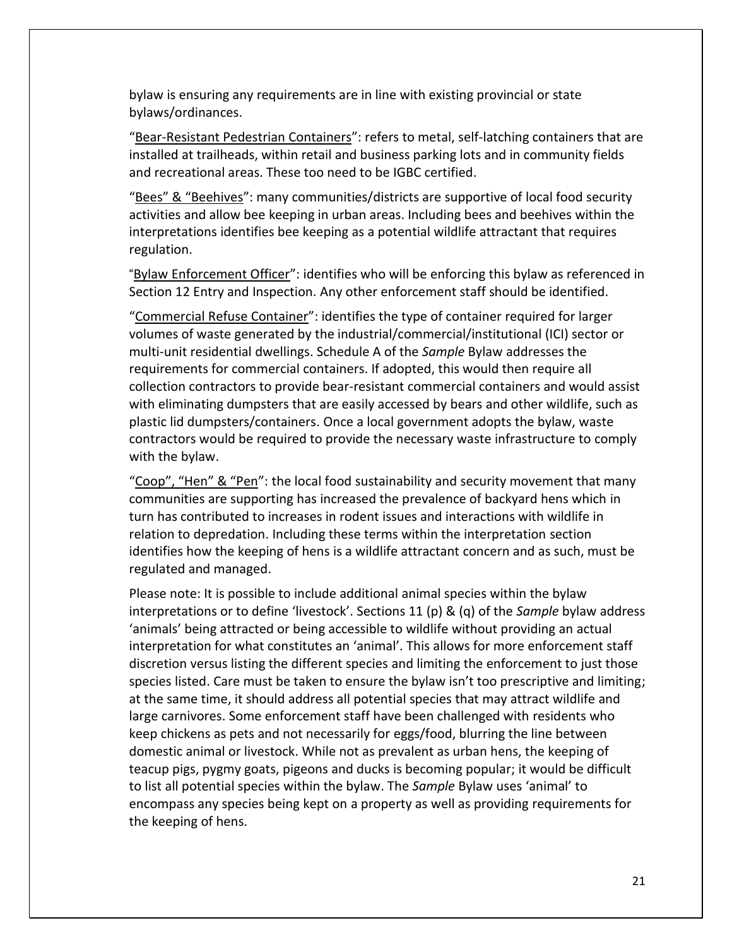bylaw is ensuring any requirements are in line with existing provincial or state bylaws/ordinances.

"Bear-Resistant Pedestrian Containers": refers to metal, self-latching containers that are installed at trailheads, within retail and business parking lots and in community fields and recreational areas. These too need to be IGBC certified.

"Bees" & "Beehives": many communities/districts are supportive of local food security activities and allow bee keeping in urban areas. Including bees and beehives within the interpretations identifies bee keeping as a potential wildlife attractant that requires regulation.

"Bylaw Enforcement Officer": identifies who will be enforcing this bylaw as referenced in Section 12 Entry and Inspection. Any other enforcement staff should be identified.

"Commercial Refuse Container": identifies the type of container required for larger volumes of waste generated by the industrial/commercial/institutional (ICI) sector or multi-unit residential dwellings. Schedule A of the *Sample* Bylaw addresses the requirements for commercial containers. If adopted, this would then require all collection contractors to provide bear-resistant commercial containers and would assist with eliminating dumpsters that are easily accessed by bears and other wildlife, such as plastic lid dumpsters/containers. Once a local government adopts the bylaw, waste contractors would be required to provide the necessary waste infrastructure to comply with the bylaw.

"Coop", "Hen" & "Pen": the local food sustainability and security movement that many communities are supporting has increased the prevalence of backyard hens which in turn has contributed to increases in rodent issues and interactions with wildlife in relation to depredation. Including these terms within the interpretation section identifies how the keeping of hens is a wildlife attractant concern and as such, must be regulated and managed.

Please note: It is possible to include additional animal species within the bylaw interpretations or to define 'livestock'. Sections 11 (p) & (q) of the *Sample* bylaw address 'animals' being attracted or being accessible to wildlife without providing an actual interpretation for what constitutes an 'animal'. This allows for more enforcement staff discretion versus listing the different species and limiting the enforcement to just those species listed. Care must be taken to ensure the bylaw isn't too prescriptive and limiting; at the same time, it should address all potential species that may attract wildlife and large carnivores. Some enforcement staff have been challenged with residents who keep chickens as pets and not necessarily for eggs/food, blurring the line between domestic animal or livestock. While not as prevalent as urban hens, the keeping of teacup pigs, pygmy goats, pigeons and ducks is becoming popular; it would be difficult to list all potential species within the bylaw. The *Sample* Bylaw uses 'animal' to encompass any species being kept on a property as well as providing requirements for the keeping of hens.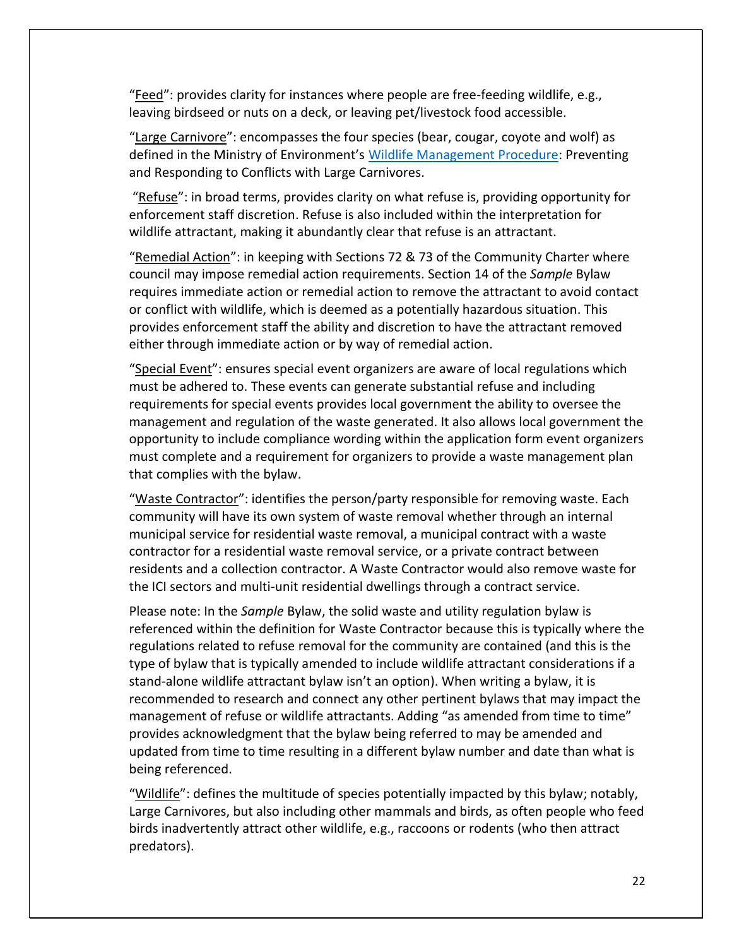"Feed": provides clarity for instances where people are free-feeding wildlife, e.g., leaving birdseed or nuts on a deck, or leaving pet/livestock food accessible.

"Large Carnivore": encompasses the four species (bear, cougar, coyote and wolf) as defined in the Ministry of Environment's [Wildlife Management Procedure:](https://www2.gov.bc.ca/assets/gov/environment/natural-resource-policy-legislation/fish-and-wildlife-policy/4-7-04011_preventing_and_responding_to_conflicts_with_large_carnivores.pdf) Preventing and Responding to Conflicts with Large Carnivores.

"Refuse": in broad terms, provides clarity on what refuse is, providing opportunity for enforcement staff discretion. Refuse is also included within the interpretation for wildlife attractant, making it abundantly clear that refuse is an attractant.

"Remedial Action": in keeping with Sections 72 & 73 of the Community Charter where council may impose remedial action requirements. Section 14 of the *Sample* Bylaw requires immediate action or remedial action to remove the attractant to avoid contact or conflict with wildlife, which is deemed as a potentially hazardous situation. This provides enforcement staff the ability and discretion to have the attractant removed either through immediate action or by way of remedial action.

"Special Event": ensures special event organizers are aware of local regulations which must be adhered to. These events can generate substantial refuse and including requirements for special events provides local government the ability to oversee the management and regulation of the waste generated. It also allows local government the opportunity to include compliance wording within the application form event organizers must complete and a requirement for organizers to provide a waste management plan that complies with the bylaw.

"Waste Contractor": identifies the person/party responsible for removing waste. Each community will have its own system of waste removal whether through an internal municipal service for residential waste removal, a municipal contract with a waste contractor for a residential waste removal service, or a private contract between residents and a collection contractor. A Waste Contractor would also remove waste for the ICI sectors and multi-unit residential dwellings through a contract service.

Please note: In the *Sample* Bylaw, the solid waste and utility regulation bylaw is referenced within the definition for Waste Contractor because this is typically where the regulations related to refuse removal for the community are contained (and this is the type of bylaw that is typically amended to include wildlife attractant considerations if a stand-alone wildlife attractant bylaw isn't an option). When writing a bylaw, it is recommended to research and connect any other pertinent bylaws that may impact the management of refuse or wildlife attractants. Adding "as amended from time to time" provides acknowledgment that the bylaw being referred to may be amended and updated from time to time resulting in a different bylaw number and date than what is being referenced.

"Wildlife": defines the multitude of species potentially impacted by this bylaw; notably, Large Carnivores, but also including other mammals and birds, as often people who feed birds inadvertently attract other wildlife, e.g., raccoons or rodents (who then attract predators).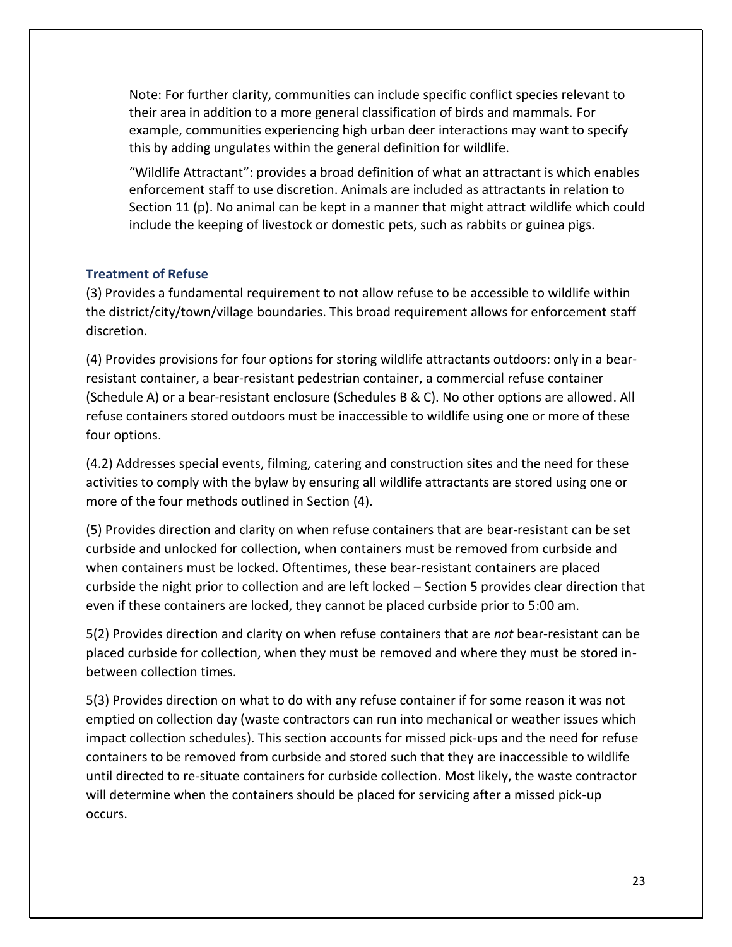Note: For further clarity, communities can include specific conflict species relevant to their area in addition to a more general classification of birds and mammals. For example, communities experiencing high urban deer interactions may want to specify this by adding ungulates within the general definition for wildlife.

"Wildlife Attractant": provides a broad definition of what an attractant is which enables enforcement staff to use discretion. Animals are included as attractants in relation to Section 11 (p). No animal can be kept in a manner that might attract wildlife which could include the keeping of livestock or domestic pets, such as rabbits or guinea pigs.

## <span id="page-23-0"></span>**Treatment of Refuse**

(3) Provides a fundamental requirement to not allow refuse to be accessible to wildlife within the district/city/town/village boundaries. This broad requirement allows for enforcement staff discretion.

(4) Provides provisions for four options for storing wildlife attractants outdoors: only in a bearresistant container, a bear-resistant pedestrian container, a commercial refuse container (Schedule A) or a bear-resistant enclosure (Schedules B & C). No other options are allowed. All refuse containers stored outdoors must be inaccessible to wildlife using one or more of these four options.

(4.2) Addresses special events, filming, catering and construction sites and the need for these activities to comply with the bylaw by ensuring all wildlife attractants are stored using one or more of the four methods outlined in Section (4).

(5) Provides direction and clarity on when refuse containers that are bear-resistant can be set curbside and unlocked for collection, when containers must be removed from curbside and when containers must be locked. Oftentimes, these bear-resistant containers are placed curbside the night prior to collection and are left locked – Section 5 provides clear direction that even if these containers are locked, they cannot be placed curbside prior to 5:00 am.

5(2) Provides direction and clarity on when refuse containers that are *not* bear-resistant can be placed curbside for collection, when they must be removed and where they must be stored inbetween collection times.

5(3) Provides direction on what to do with any refuse container if for some reason it was not emptied on collection day (waste contractors can run into mechanical or weather issues which impact collection schedules). This section accounts for missed pick-ups and the need for refuse containers to be removed from curbside and stored such that they are inaccessible to wildlife until directed to re-situate containers for curbside collection. Most likely, the waste contractor will determine when the containers should be placed for servicing after a missed pick-up occurs.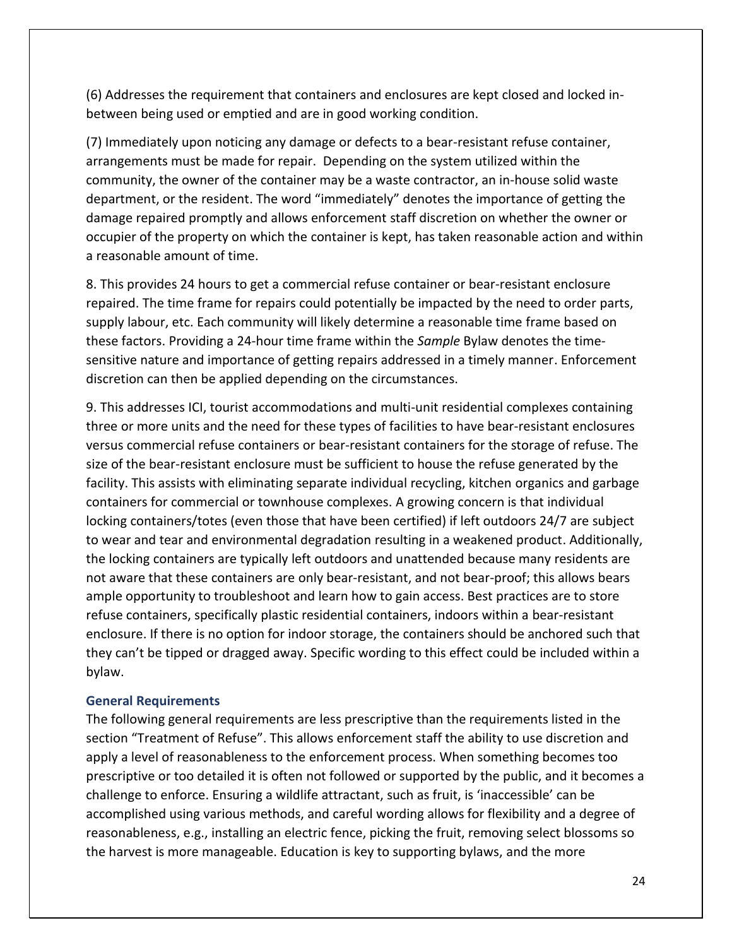(6) Addresses the requirement that containers and enclosures are kept closed and locked inbetween being used or emptied and are in good working condition.

(7) Immediately upon noticing any damage or defects to a bear-resistant refuse container, arrangements must be made for repair. Depending on the system utilized within the community, the owner of the container may be a waste contractor, an in-house solid waste department, or the resident. The word "immediately" denotes the importance of getting the damage repaired promptly and allows enforcement staff discretion on whether the owner or occupier of the property on which the container is kept, has taken reasonable action and within a reasonable amount of time.

8. This provides 24 hours to get a commercial refuse container or bear-resistant enclosure repaired. The time frame for repairs could potentially be impacted by the need to order parts, supply labour, etc. Each community will likely determine a reasonable time frame based on these factors. Providing a 24-hour time frame within the *Sample* Bylaw denotes the timesensitive nature and importance of getting repairs addressed in a timely manner. Enforcement discretion can then be applied depending on the circumstances.

9. This addresses ICI, tourist accommodations and multi-unit residential complexes containing three or more units and the need for these types of facilities to have bear-resistant enclosures versus commercial refuse containers or bear-resistant containers for the storage of refuse. The size of the bear-resistant enclosure must be sufficient to house the refuse generated by the facility. This assists with eliminating separate individual recycling, kitchen organics and garbage containers for commercial or townhouse complexes. A growing concern is that individual locking containers/totes (even those that have been certified) if left outdoors 24/7 are subject to wear and tear and environmental degradation resulting in a weakened product. Additionally, the locking containers are typically left outdoors and unattended because many residents are not aware that these containers are only bear-resistant, and not bear-proof; this allows bears ample opportunity to troubleshoot and learn how to gain access. Best practices are to store refuse containers, specifically plastic residential containers, indoors within a bear-resistant enclosure. If there is no option for indoor storage, the containers should be anchored such that they can't be tipped or dragged away. Specific wording to this effect could be included within a bylaw.

## <span id="page-24-0"></span>**General Requirements**

The following general requirements are less prescriptive than the requirements listed in the section "Treatment of Refuse". This allows enforcement staff the ability to use discretion and apply a level of reasonableness to the enforcement process. When something becomes too prescriptive or too detailed it is often not followed or supported by the public, and it becomes a challenge to enforce. Ensuring a wildlife attractant, such as fruit, is 'inaccessible' can be accomplished using various methods, and careful wording allows for flexibility and a degree of reasonableness, e.g., installing an electric fence, picking the fruit, removing select blossoms so the harvest is more manageable. Education is key to supporting bylaws, and the more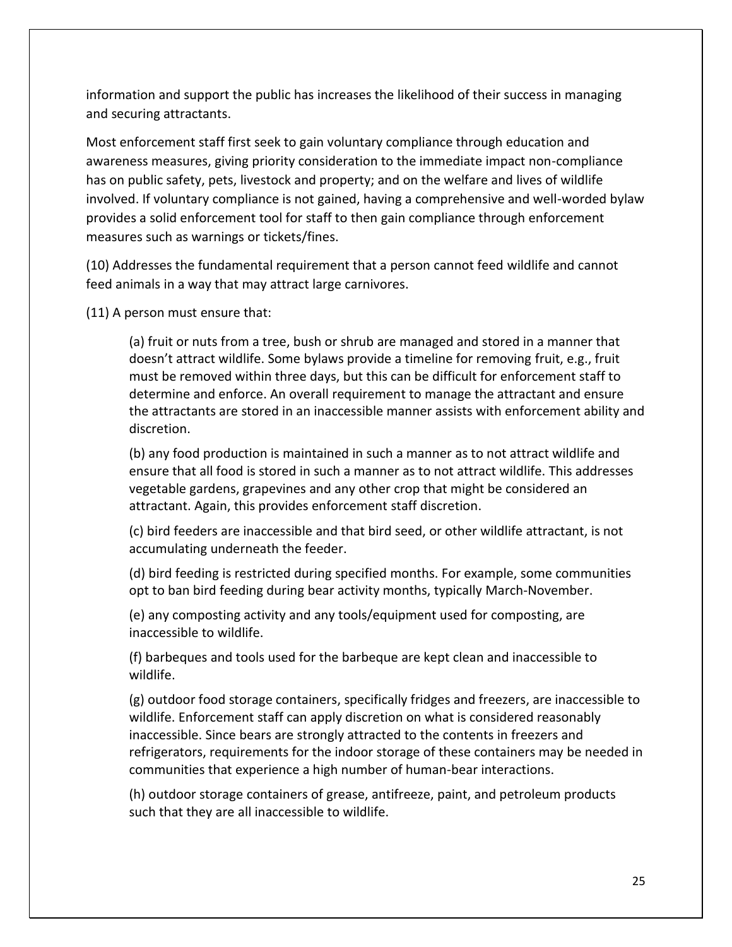information and support the public has increases the likelihood of their success in managing and securing attractants.

Most enforcement staff first seek to gain voluntary compliance through education and awareness measures, giving priority consideration to the immediate impact non-compliance has on public safety, pets, livestock and property; and on the welfare and lives of wildlife involved. If voluntary compliance is not gained, having a comprehensive and well-worded bylaw provides a solid enforcement tool for staff to then gain compliance through enforcement measures such as warnings or tickets/fines.

(10) Addresses the fundamental requirement that a person cannot feed wildlife and cannot feed animals in a way that may attract large carnivores.

(11) A person must ensure that:

(a) fruit or nuts from a tree, bush or shrub are managed and stored in a manner that doesn't attract wildlife. Some bylaws provide a timeline for removing fruit, e.g., fruit must be removed within three days, but this can be difficult for enforcement staff to determine and enforce. An overall requirement to manage the attractant and ensure the attractants are stored in an inaccessible manner assists with enforcement ability and discretion.

(b) any food production is maintained in such a manner as to not attract wildlife and ensure that all food is stored in such a manner as to not attract wildlife. This addresses vegetable gardens, grapevines and any other crop that might be considered an attractant. Again, this provides enforcement staff discretion.

(c) bird feeders are inaccessible and that bird seed, or other wildlife attractant, is not accumulating underneath the feeder.

(d) bird feeding is restricted during specified months. For example, some communities opt to ban bird feeding during bear activity months, typically March-November.

(e) any composting activity and any tools/equipment used for composting, are inaccessible to wildlife.

(f) barbeques and tools used for the barbeque are kept clean and inaccessible to wildlife.

(g) outdoor food storage containers, specifically fridges and freezers, are inaccessible to wildlife. Enforcement staff can apply discretion on what is considered reasonably inaccessible. Since bears are strongly attracted to the contents in freezers and refrigerators, requirements for the indoor storage of these containers may be needed in communities that experience a high number of human-bear interactions.

(h) outdoor storage containers of grease, antifreeze, paint, and petroleum products such that they are all inaccessible to wildlife.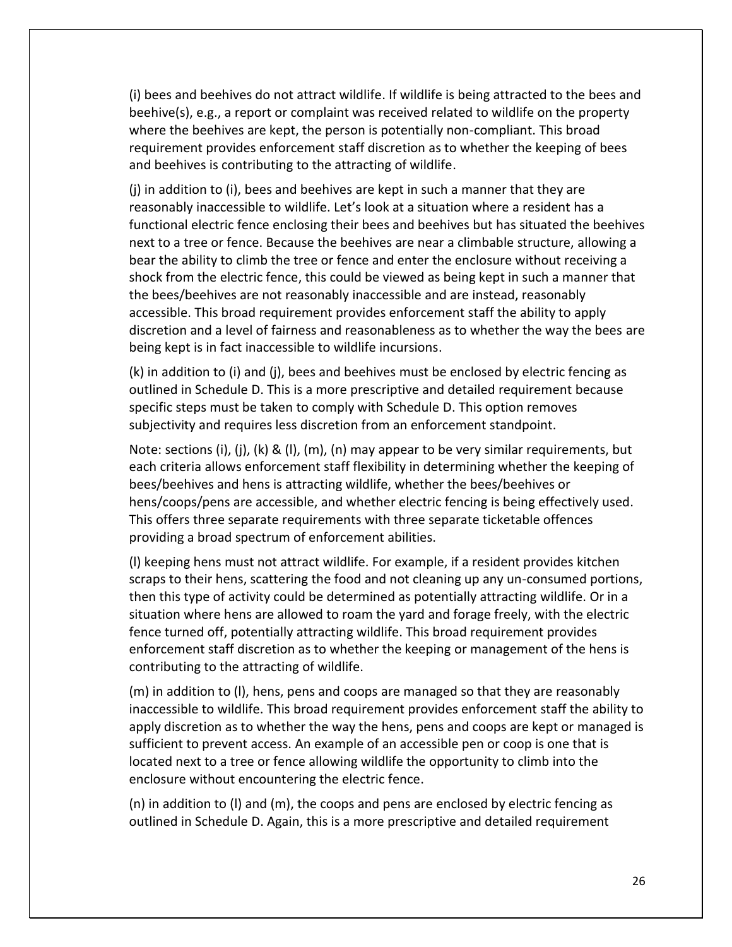(i) bees and beehives do not attract wildlife. If wildlife is being attracted to the bees and beehive(s), e.g., a report or complaint was received related to wildlife on the property where the beehives are kept, the person is potentially non-compliant. This broad requirement provides enforcement staff discretion as to whether the keeping of bees and beehives is contributing to the attracting of wildlife.

(j) in addition to (i), bees and beehives are kept in such a manner that they are reasonably inaccessible to wildlife. Let's look at a situation where a resident has a functional electric fence enclosing their bees and beehives but has situated the beehives next to a tree or fence. Because the beehives are near a climbable structure, allowing a bear the ability to climb the tree or fence and enter the enclosure without receiving a shock from the electric fence, this could be viewed as being kept in such a manner that the bees/beehives are not reasonably inaccessible and are instead, reasonably accessible. This broad requirement provides enforcement staff the ability to apply discretion and a level of fairness and reasonableness as to whether the way the bees are being kept is in fact inaccessible to wildlife incursions.

(k) in addition to (i) and (j), bees and beehives must be enclosed by electric fencing as outlined in Schedule D. This is a more prescriptive and detailed requirement because specific steps must be taken to comply with Schedule D. This option removes subjectivity and requires less discretion from an enforcement standpoint.

Note: sections (i), (j), (k) & (l), (m), (n) may appear to be very similar requirements, but each criteria allows enforcement staff flexibility in determining whether the keeping of bees/beehives and hens is attracting wildlife, whether the bees/beehives or hens/coops/pens are accessible, and whether electric fencing is being effectively used. This offers three separate requirements with three separate ticketable offences providing a broad spectrum of enforcement abilities.

(l) keeping hens must not attract wildlife. For example, if a resident provides kitchen scraps to their hens, scattering the food and not cleaning up any un-consumed portions, then this type of activity could be determined as potentially attracting wildlife. Or in a situation where hens are allowed to roam the yard and forage freely, with the electric fence turned off, potentially attracting wildlife. This broad requirement provides enforcement staff discretion as to whether the keeping or management of the hens is contributing to the attracting of wildlife.

(m) in addition to (l), hens, pens and coops are managed so that they are reasonably inaccessible to wildlife. This broad requirement provides enforcement staff the ability to apply discretion as to whether the way the hens, pens and coops are kept or managed is sufficient to prevent access. An example of an accessible pen or coop is one that is located next to a tree or fence allowing wildlife the opportunity to climb into the enclosure without encountering the electric fence.

(n) in addition to (l) and (m), the coops and pens are enclosed by electric fencing as outlined in Schedule D. Again, this is a more prescriptive and detailed requirement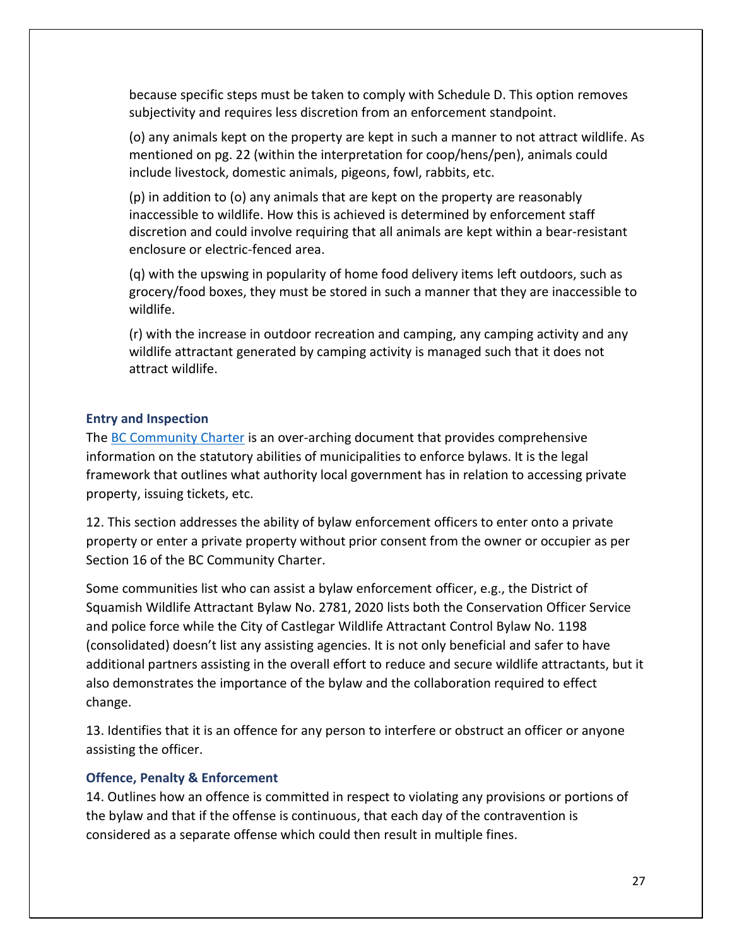because specific steps must be taken to comply with Schedule D. This option removes subjectivity and requires less discretion from an enforcement standpoint.

(o) any animals kept on the property are kept in such a manner to not attract wildlife. As mentioned on pg. 22 (within the interpretation for coop/hens/pen), animals could include livestock, domestic animals, pigeons, fowl, rabbits, etc.

(p) in addition to (o) any animals that are kept on the property are reasonably inaccessible to wildlife. How this is achieved is determined by enforcement staff discretion and could involve requiring that all animals are kept within a bear-resistant enclosure or electric-fenced area.

(q) with the upswing in popularity of home food delivery items left outdoors, such as grocery/food boxes, they must be stored in such a manner that they are inaccessible to wildlife.

(r) with the increase in outdoor recreation and camping, any camping activity and any wildlife attractant generated by camping activity is managed such that it does not attract wildlife.

## <span id="page-27-0"></span>**Entry and Inspection**

The [BC Community Charter](https://www.bclaws.gov.bc.ca/civix/document/id/complete/statreg/03026_00) is an over-arching document that provides comprehensive information on the statutory abilities of municipalities to enforce bylaws. It is the legal framework that outlines what authority local government has in relation to accessing private property, issuing tickets, etc.

12. This section addresses the ability of bylaw enforcement officers to enter onto a private property or enter a private property without prior consent from the owner or occupier as per Section 16 of the BC Community Charter.

Some communities list who can assist a bylaw enforcement officer, e.g., the District of Squamish Wildlife Attractant Bylaw No. 2781, 2020 lists both the Conservation Officer Service and police force while the City of Castlegar Wildlife Attractant Control Bylaw No. 1198 (consolidated) doesn't list any assisting agencies. It is not only beneficial and safer to have additional partners assisting in the overall effort to reduce and secure wildlife attractants, but it also demonstrates the importance of the bylaw and the collaboration required to effect change.

13. Identifies that it is an offence for any person to interfere or obstruct an officer or anyone assisting the officer.

## <span id="page-27-1"></span>**Offence, Penalty & Enforcement**

14. Outlines how an offence is committed in respect to violating any provisions or portions of the bylaw and that if the offense is continuous, that each day of the contravention is considered as a separate offense which could then result in multiple fines.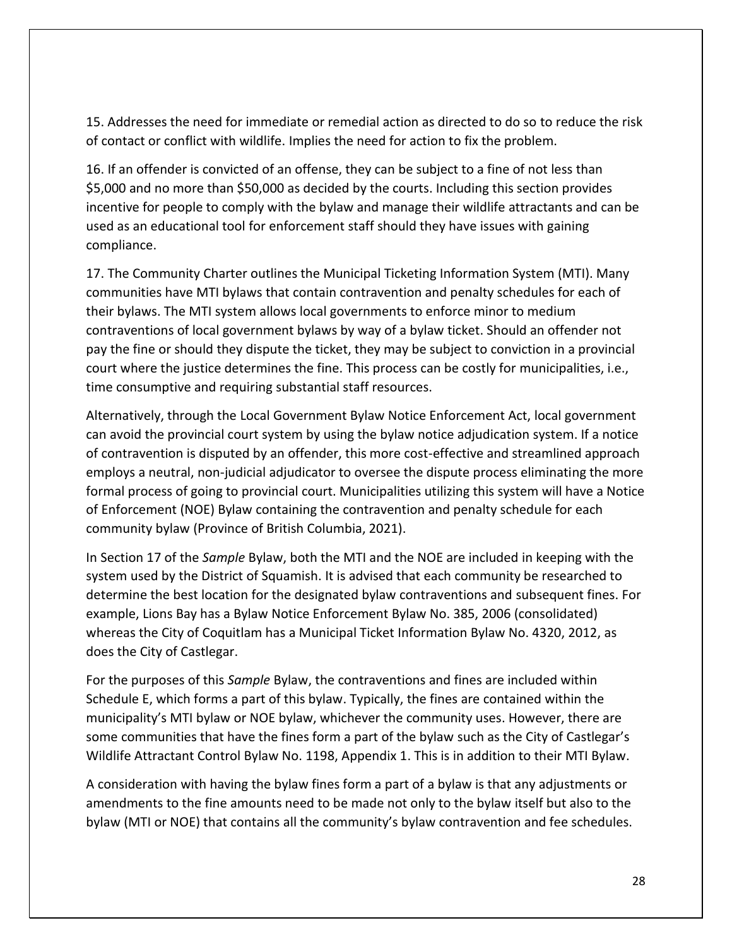15. Addresses the need for immediate or remedial action as directed to do so to reduce the risk of contact or conflict with wildlife. Implies the need for action to fix the problem.

16. If an offender is convicted of an offense, they can be subject to a fine of not less than \$5,000 and no more than \$50,000 as decided by the courts. Including this section provides incentive for people to comply with the bylaw and manage their wildlife attractants and can be used as an educational tool for enforcement staff should they have issues with gaining compliance.

17. The Community Charter outlines the Municipal Ticketing Information System (MTI). Many communities have MTI bylaws that contain contravention and penalty schedules for each of their bylaws. The MTI system allows local governments to enforce minor to medium contraventions of local government bylaws by way of a bylaw ticket. Should an offender not pay the fine or should they dispute the ticket, they may be subject to conviction in a provincial court where the justice determines the fine. This process can be costly for municipalities, i.e., time consumptive and requiring substantial staff resources.

Alternatively, through the Local Government Bylaw Notice Enforcement Act, local government can avoid the provincial court system by using the bylaw notice adjudication system. If a notice of contravention is disputed by an offender, this more cost-effective and streamlined approach employs a neutral, non-judicial adjudicator to oversee the dispute process eliminating the more formal process of going to provincial court. Municipalities utilizing this system will have a Notice of Enforcement (NOE) Bylaw containing the contravention and penalty schedule for each community bylaw (Province of British Columbia, 2021).

In Section 17 of the *Sample* Bylaw, both the MTI and the NOE are included in keeping with the system used by the District of Squamish. It is advised that each community be researched to determine the best location for the designated bylaw contraventions and subsequent fines. For example, Lions Bay has a Bylaw Notice Enforcement Bylaw No. 385, 2006 (consolidated) whereas the City of Coquitlam has a Municipal Ticket Information Bylaw No. 4320, 2012, as does the City of Castlegar.

For the purposes of this *Sample* Bylaw, the contraventions and fines are included within Schedule E, which forms a part of this bylaw. Typically, the fines are contained within the municipality's MTI bylaw or NOE bylaw, whichever the community uses. However, there are some communities that have the fines form a part of the bylaw such as the City of Castlegar's Wildlife Attractant Control Bylaw No. 1198, Appendix 1. This is in addition to their MTI Bylaw.

A consideration with having the bylaw fines form a part of a bylaw is that any adjustments or amendments to the fine amounts need to be made not only to the bylaw itself but also to the bylaw (MTI or NOE) that contains all the community's bylaw contravention and fee schedules.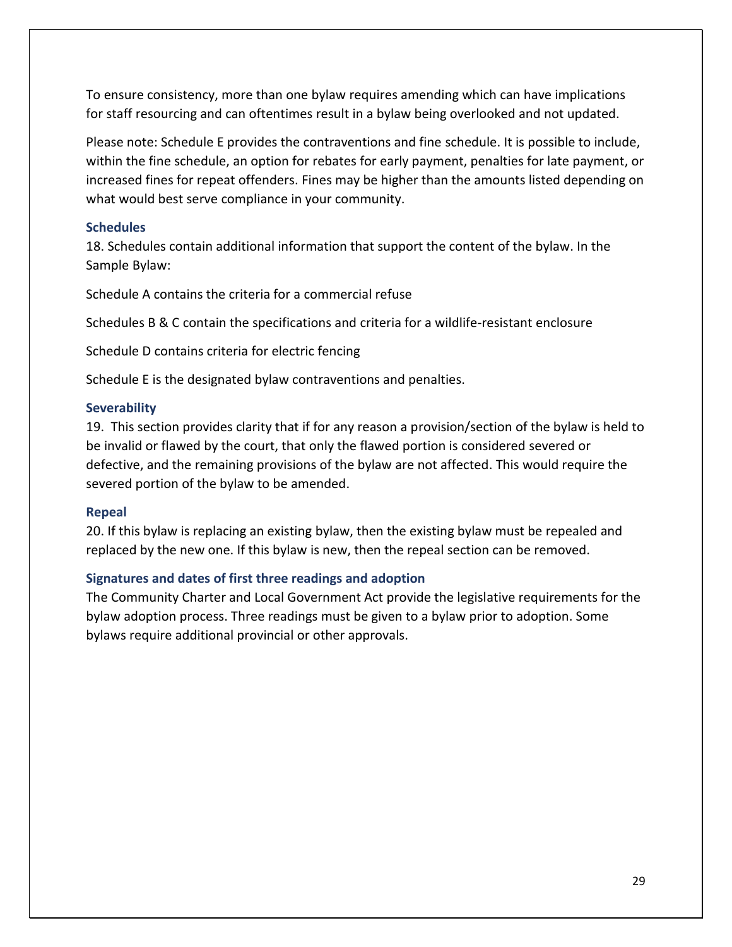To ensure consistency, more than one bylaw requires amending which can have implications for staff resourcing and can oftentimes result in a bylaw being overlooked and not updated.

Please note: Schedule E provides the contraventions and fine schedule. It is possible to include, within the fine schedule, an option for rebates for early payment, penalties for late payment, or increased fines for repeat offenders. Fines may be higher than the amounts listed depending on what would best serve compliance in your community.

## <span id="page-29-0"></span>**Schedules**

18. Schedules contain additional information that support the content of the bylaw. In the Sample Bylaw:

Schedule A contains the criteria for a commercial refuse

Schedules B & C contain the specifications and criteria for a wildlife-resistant enclosure

Schedule D contains criteria for electric fencing

Schedule E is the designated bylaw contraventions and penalties.

## <span id="page-29-1"></span>**Severability**

19. This section provides clarity that if for any reason a provision/section of the bylaw is held to be invalid or flawed by the court, that only the flawed portion is considered severed or defective, and the remaining provisions of the bylaw are not affected. This would require the severed portion of the bylaw to be amended.

## <span id="page-29-2"></span>**Repeal**

20. If this bylaw is replacing an existing bylaw, then the existing bylaw must be repealed and replaced by the new one. If this bylaw is new, then the repeal section can be removed.

## <span id="page-29-3"></span>**Signatures and dates of first three readings and adoption**

The Community Charter and Local Government Act provide the legislative requirements for the bylaw adoption process. Three readings must be given to a bylaw prior to adoption. Some bylaws require additional provincial or other approvals.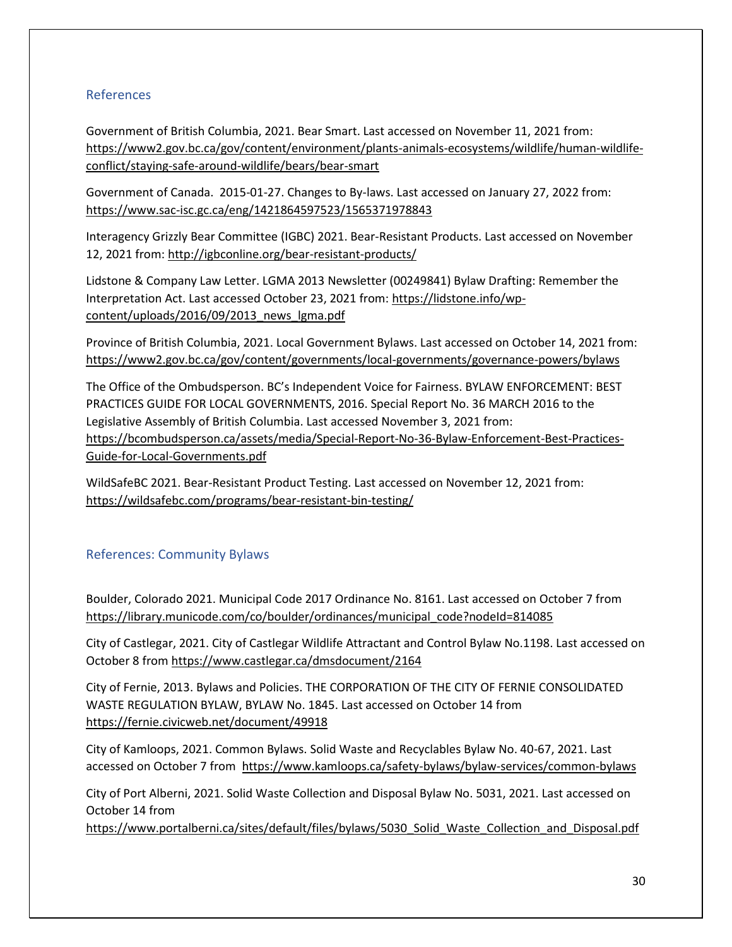## <span id="page-30-0"></span>References

Government of British Columbia, 2021. Bear Smart. Last accessed on November 11, 2021 from: [https://www2.gov.bc.ca/gov/content/environment/plants-animals-ecosystems/wildlife/human-wildlife](https://www2.gov.bc.ca/gov/content/environment/plants-animals-ecosystems/wildlife/human-wildlife-conflict/staying-safe-around-wildlife/bears/bear-smart)[conflict/staying-safe-around-wildlife/bears/bear-smart](https://www2.gov.bc.ca/gov/content/environment/plants-animals-ecosystems/wildlife/human-wildlife-conflict/staying-safe-around-wildlife/bears/bear-smart)

Government of Canada. 2015-01-27. Changes to By-laws. Last accessed on January 27, 2022 from: <https://www.sac-isc.gc.ca/eng/1421864597523/1565371978843>

Interagency Grizzly Bear Committee (IGBC) 2021. Bear-Resistant Products. Last accessed on November 12, 2021 from:<http://igbconline.org/bear-resistant-products/>

Lidstone & Company Law Letter. LGMA 2013 Newsletter (00249841) Bylaw Drafting: Remember the Interpretation Act. Last accessed October 23, 2021 from: [https://lidstone.info/wp](https://lidstone.info/wp-content/uploads/2016/09/2013_news_lgma.pdf)[content/uploads/2016/09/2013\\_news\\_lgma.pdf](https://lidstone.info/wp-content/uploads/2016/09/2013_news_lgma.pdf)

Province of British Columbia, 2021. Local Government Bylaws. Last accessed on October 14, 2021 from: <https://www2.gov.bc.ca/gov/content/governments/local-governments/governance-powers/bylaws>

The Office of the Ombudsperson. BC's Independent Voice for Fairness. BYLAW ENFORCEMENT: BEST PRACTICES GUIDE FOR LOCAL GOVERNMENTS, 2016. Special Report No. 36 MARCH 2016 to the Legislative Assembly of British Columbia. Last accessed November 3, 2021 from: [https://bcombudsperson.ca/assets/media/Special-Report-No-36-Bylaw-Enforcement-Best-Practices-](https://bcombudsperson.ca/assets/media/Special-Report-No-36-Bylaw-Enforcement-Best-Practices-Guide-for-Local-Governments.pdf)[Guide-for-Local-Governments.pdf](https://bcombudsperson.ca/assets/media/Special-Report-No-36-Bylaw-Enforcement-Best-Practices-Guide-for-Local-Governments.pdf)

WildSafeBC 2021. Bear-Resistant Product Testing. Last accessed on November 12, 2021 from: <https://wildsafebc.com/programs/bear-resistant-bin-testing/>

## <span id="page-30-1"></span>References: Community Bylaws

Boulder, Colorado 2021. Municipal Code 2017 Ordinance No. 8161. Last accessed on October 7 from [https://library.municode.com/co/boulder/ordinances/municipal\\_code?nodeId=814085](https://library.municode.com/co/boulder/ordinances/municipal_code?nodeId=814085)

City of Castlegar, 2021. City of Castlegar Wildlife Attractant and Control Bylaw No.1198. Last accessed on October 8 from<https://www.castlegar.ca/dmsdocument/2164>

City of Fernie, 2013. Bylaws and Policies. THE CORPORATION OF THE CITY OF FERNIE CONSOLIDATED WASTE REGULATION BYLAW, BYLAW No. 1845. Last accessed on October 14 from <https://fernie.civicweb.net/document/49918>

City of Kamloops, 2021. Common Bylaws. Solid Waste and Recyclables Bylaw No. 40-67, 2021. Last accessed on October 7 from <https://www.kamloops.ca/safety-bylaws/bylaw-services/common-bylaws>

City of Port Alberni, 2021. Solid Waste Collection and Disposal Bylaw No. 5031, 2021. Last accessed on October 14 from

https://www.portalberni.ca/sites/default/files/bylaws/5030 Solid\_Waste\_Collection\_and\_Disposal.pdf